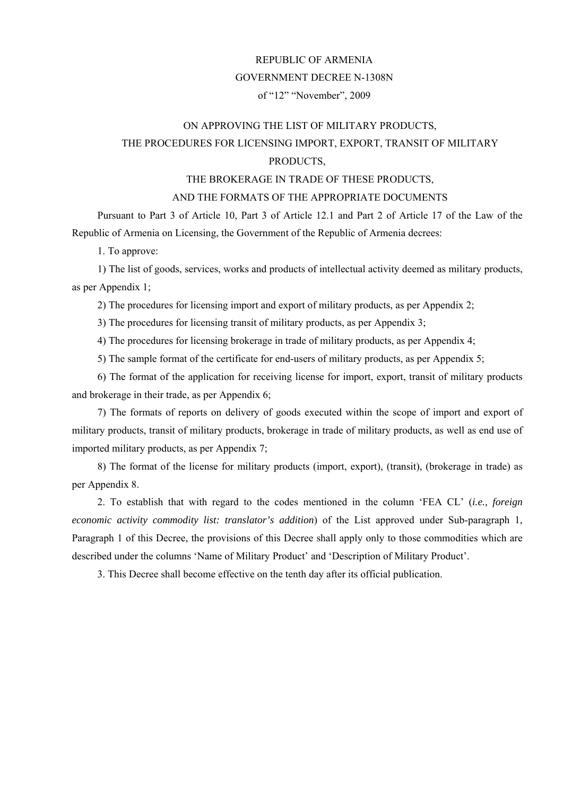#### REPUBLIC OF ARMENIA

#### GOVERNMENT DECREE N-1308N

#### of "12" "November", 2009

## ON APPROVING THE LIST OF MILITARY PRODUCTS, THE PROCEDURES FOR LICENSING IMPORT, EXPORT, TRANSIT OF MILITARY PRODUCTS,

## THE BROKERAGE IN TRADE OF THESE PRODUCTS,

### AND THE FORMATS OF THE APPROPRIATE DOCUMENTS

Pursuant to Part 3 of Article 10, Part 3 of Article 12.1 and Part 2 of Article 17 of the Law of the Republic of Armenia on Licensing, the Government of the Republic of Armenia decrees:

1. To approve:

1) The list of goods, services, works and products of intellectual activity deemed as military products, as per Appendix 1;

2) The procedures for licensing import and export of military products, as per Appendix 2;

3) The procedures for licensing transit of military products, as per Appendix 3;

4) The procedures for licensing brokerage in trade of military products, as per Appendix 4;

5) The sample format of the certificate for end-users of military products, as per Appendix 5;

6) The format of the application for receiving license for import, export, transit of military products and brokerage in their trade, as per Appendix 6;

7) The formats of reports on delivery of goods executed within the scope of import and export of military products, transit of military products, brokerage in trade of military products, as well as end use of imported military products, as per Appendix 7;

8) The format of the license for military products (import, export), (transit), (brokerage in trade) as per Appendix 8.

2. To establish that with regard to the codes mentioned in the column 'FEA CL' (*i.e., foreign economic activity commodity list: translator's addition*) of the List approved under Sub-paragraph 1, Paragraph 1 of this Decree, the provisions of this Decree shall apply only to those commodities which are described under the columns 'Name of Military Product' and 'Description of Military Product'.

3. This Decree shall become effective on the tenth day after its official publication.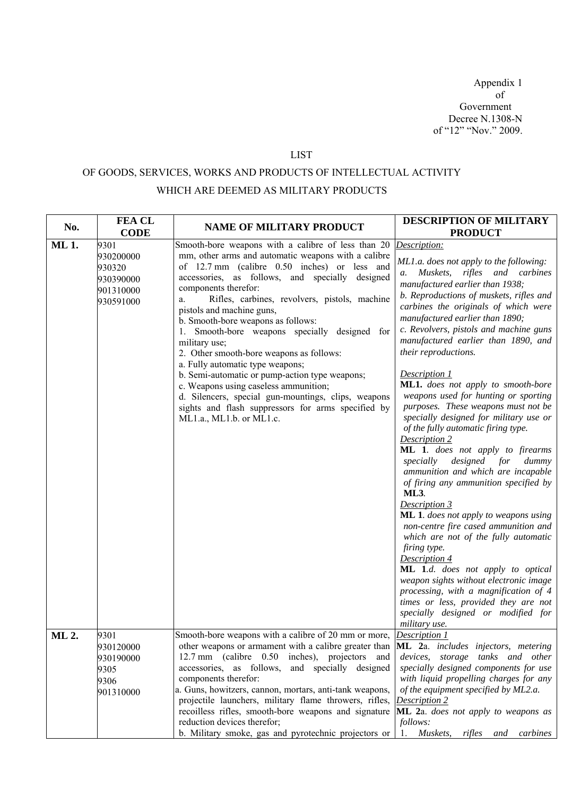Appendix 1 of Government Decree N.1308-N of "12" "Nov." 2009.

### LIST

## OF GOODS, SERVICES, WORKS AND PRODUCTS OF INTELLECTUAL ACTIVITY

### WHICH ARE DEEMED AS MILITARY PRODUCTS

|             | <b>FEA CL</b>                                                      |                                                                                                                                                                                                                                                                                                                                                                                                                                                                                                                                                                                                                                                                                                                                                      | <b>DESCRIPTION OF MILITARY</b>                                                                                                                                                                                                                                                                                                                                                                                                                                                                                                                                                                                                                                                                                                                                                                                                                                                                                                                                                                                                                                                                                                                                                                     |
|-------------|--------------------------------------------------------------------|------------------------------------------------------------------------------------------------------------------------------------------------------------------------------------------------------------------------------------------------------------------------------------------------------------------------------------------------------------------------------------------------------------------------------------------------------------------------------------------------------------------------------------------------------------------------------------------------------------------------------------------------------------------------------------------------------------------------------------------------------|----------------------------------------------------------------------------------------------------------------------------------------------------------------------------------------------------------------------------------------------------------------------------------------------------------------------------------------------------------------------------------------------------------------------------------------------------------------------------------------------------------------------------------------------------------------------------------------------------------------------------------------------------------------------------------------------------------------------------------------------------------------------------------------------------------------------------------------------------------------------------------------------------------------------------------------------------------------------------------------------------------------------------------------------------------------------------------------------------------------------------------------------------------------------------------------------------|
| No.         | <b>CODE</b>                                                        | <b>NAME OF MILITARY PRODUCT</b>                                                                                                                                                                                                                                                                                                                                                                                                                                                                                                                                                                                                                                                                                                                      | <b>PRODUCT</b>                                                                                                                                                                                                                                                                                                                                                                                                                                                                                                                                                                                                                                                                                                                                                                                                                                                                                                                                                                                                                                                                                                                                                                                     |
| <b>ML1.</b> | 9301<br>930200000<br>930320<br>930390000<br>901310000<br>930591000 | Smooth-bore weapons with a calibre of less than 20<br>mm, other arms and automatic weapons with a calibre<br>of 12.7 mm (calibre 0.50 inches) or less and<br>accessories, as follows, and specially designed<br>components therefor:<br>Rifles, carbines, revolvers, pistols, machine<br>a.<br>pistols and machine guns,<br>b. Smooth-bore weapons as follows:<br>1. Smooth-bore weapons specially designed for<br>military use;<br>2. Other smooth-bore weapons as follows:<br>a. Fully automatic type weapons;<br>b. Semi-automatic or pump-action type weapons;<br>c. Weapons using caseless ammunition;<br>d. Silencers, special gun-mountings, clips, weapons<br>sights and flash suppressors for arms specified by<br>ML1.a., ML1.b. or ML1.c. | Description:<br>ML1.a. does not apply to the following:<br>Muskets, rifles and carbines<br>a.<br>manufactured earlier than 1938;<br>b. Reproductions of muskets, rifles and<br>carbines the originals of which were<br>manufactured earlier than 1890;<br>c. Revolvers, pistols and machine guns<br>manufactured earlier than 1890, and<br>their reproductions.<br><b>Description 1</b><br>ML1. does not apply to smooth-bore<br>weapons used for hunting or sporting<br>purposes. These weapons must not be<br>specially designed for military use or<br>of the fully automatic firing type.<br>Description 2<br>ML 1. does not apply to firearms<br>designed<br>specially<br>for<br>dummy<br>ammunition and which are incapable<br>of firing any ammunition specified by<br><b>ML3.</b><br><b>Description 3</b><br>ML 1. does not apply to weapons using<br>non-centre fire cased ammunition and<br>which are not of the fully automatic<br>firing type.<br>Description 4<br>ML 1.d. does not apply to optical<br>weapon sights without electronic image<br>processing, with a magnification of 4<br>times or less, provided they are not<br>specially designed or modified for<br>military use. |
| ML 2.       | 9301<br>930120000<br>930190000<br>9305<br>9306<br>901310000        | Smooth-bore weapons with a calibre of 20 mm or more, <i>Description 1</i><br>other weapons or armament with a calibre greater than<br>12.7 mm (calibre 0.50 inches), projectors and<br>accessories, as follows,<br>and specially designed<br>components therefor:<br>a. Guns, howitzers, cannon, mortars, anti-tank weapons,<br>projectile launchers, military flame throwers, rifles,<br>recoilless rifles, smooth-bore weapons and signature<br>reduction devices therefor;<br>b. Military smoke, gas and pyrotechnic projectors or                                                                                                                                                                                                                | ML 2a. includes injectors, metering<br>storage tanks and other<br>devices,<br>specially designed components for use<br>with liquid propelling charges for any<br>of the equipment specified by ML2.a.<br>Description 2<br>ML 2a. does not apply to weapons as<br>follows:<br>1. Muskets,<br>carbines<br>rifles<br>and                                                                                                                                                                                                                                                                                                                                                                                                                                                                                                                                                                                                                                                                                                                                                                                                                                                                              |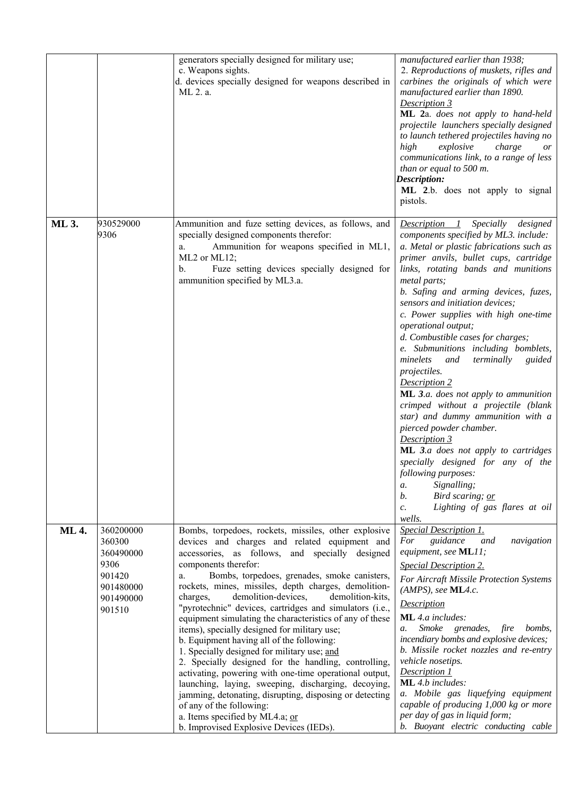|              |                                                                                        | generators specially designed for military use;<br>c. Weapons sights.<br>d. devices specially designed for weapons described in<br>ML 2. a.                                                                                                                                                                                                                                                                                                                                                                                                                                                                                                                                                                                                                                                                                                                                              | manufactured earlier than 1938;<br>2. Reproductions of muskets, rifles and<br>carbines the originals of which were<br>manufactured earlier than 1890.<br>Description 3<br>ML 2a. does not apply to hand-held<br>projectile launchers specially designed<br>to launch tethered projectiles having no<br>high<br>explosive<br>charge<br>or                                                                                                                                                                                                                                                                                                                                                                                                                                                                                                                                                             |
|--------------|----------------------------------------------------------------------------------------|------------------------------------------------------------------------------------------------------------------------------------------------------------------------------------------------------------------------------------------------------------------------------------------------------------------------------------------------------------------------------------------------------------------------------------------------------------------------------------------------------------------------------------------------------------------------------------------------------------------------------------------------------------------------------------------------------------------------------------------------------------------------------------------------------------------------------------------------------------------------------------------|------------------------------------------------------------------------------------------------------------------------------------------------------------------------------------------------------------------------------------------------------------------------------------------------------------------------------------------------------------------------------------------------------------------------------------------------------------------------------------------------------------------------------------------------------------------------------------------------------------------------------------------------------------------------------------------------------------------------------------------------------------------------------------------------------------------------------------------------------------------------------------------------------|
|              |                                                                                        |                                                                                                                                                                                                                                                                                                                                                                                                                                                                                                                                                                                                                                                                                                                                                                                                                                                                                          | communications link, to a range of less<br>than or equal to 500 m.<br>Description:<br>ML 2.b. does not apply to signal<br>pistols.                                                                                                                                                                                                                                                                                                                                                                                                                                                                                                                                                                                                                                                                                                                                                                   |
| ML 3.        | 930529000<br>9306                                                                      | Ammunition and fuze setting devices, as follows, and<br>specially designed components therefor:<br>Ammunition for weapons specified in ML1,<br>a.<br>ML2 or ML12;<br>Fuze setting devices specially designed for<br>$b_{-}$<br>ammunition specified by ML3.a.                                                                                                                                                                                                                                                                                                                                                                                                                                                                                                                                                                                                                            | Specially designed<br><b>Description</b> 1<br>components specified by ML3. include:<br>a. Metal or plastic fabrications such as<br>primer anvils, bullet cups, cartridge<br>links, rotating bands and munitions<br>metal parts;<br>b. Safing and arming devices, fuzes,<br>sensors and initiation devices;<br>c. Power supplies with high one-time<br>operational output;<br>d. Combustible cases for charges;<br>e. Submunitions including bomblets,<br>minelets<br>and<br>terminally<br>guided<br>projectiles.<br>Description 2<br>ML 3.a. does not apply to ammunition<br>crimped without a projectile (blank<br>star) and dummy ammunition with a<br>pierced powder chamber.<br>Description 3<br>ML 3.a does not apply to cartridges<br>specially designed for any of the<br>following purposes:<br>Signalling;<br>a.<br>Bird scaring; or<br>b.<br>Lighting of gas flares at oil<br>c.<br>wells. |
| <b>ML 4.</b> | 360200000<br>360300<br>360490000<br>9306<br>901420<br>901480000<br>901490000<br>901510 | Bombs, torpedoes, rockets, missiles, other explosive<br>devices and charges and related equipment and<br>accessories, as follows, and specially designed<br>components therefor:<br>Bombs, torpedoes, grenades, smoke canisters,<br>a.<br>rockets, mines, missiles, depth charges, demolition-<br>demolition-devices,<br>charges,<br>demolition-kits,<br>"pyrotechnic" devices, cartridges and simulators (i.e.,<br>equipment simulating the characteristics of any of these<br>items), specially designed for military use;<br>b. Equipment having all of the following:<br>1. Specially designed for military use; and<br>2. Specially designed for the handling, controlling,<br>activating, powering with one-time operational output,<br>launching, laying, sweeping, discharging, decoying,<br>jamming, detonating, disrupting, disposing or detecting<br>of any of the following: | Special Description 1.<br>guidance<br>navigation<br>For<br>and<br>equipment, see ML11;<br><b>Special Description 2.</b><br>For Aircraft Missile Protection Systems<br>$(AMPS)$ , see ML4.c.<br>Description<br><b>ML</b> 4.a includes:<br>Smoke grenades,<br>fire<br>bombs,<br>$a_{\cdot}$<br>incendiary bombs and explosive devices;<br>b. Missile rocket nozzles and re-entry<br>vehicle nosetips.<br><b>Description 1</b><br>ML 4.b includes:<br>a. Mobile gas liquefying equipment<br>capable of producing 1,000 kg or more                                                                                                                                                                                                                                                                                                                                                                       |
|              |                                                                                        | a. Items specified by ML4.a; or<br>b. Improvised Explosive Devices (IEDs).                                                                                                                                                                                                                                                                                                                                                                                                                                                                                                                                                                                                                                                                                                                                                                                                               | per day of gas in liquid form;<br>b. Buoyant electric conducting cable                                                                                                                                                                                                                                                                                                                                                                                                                                                                                                                                                                                                                                                                                                                                                                                                                               |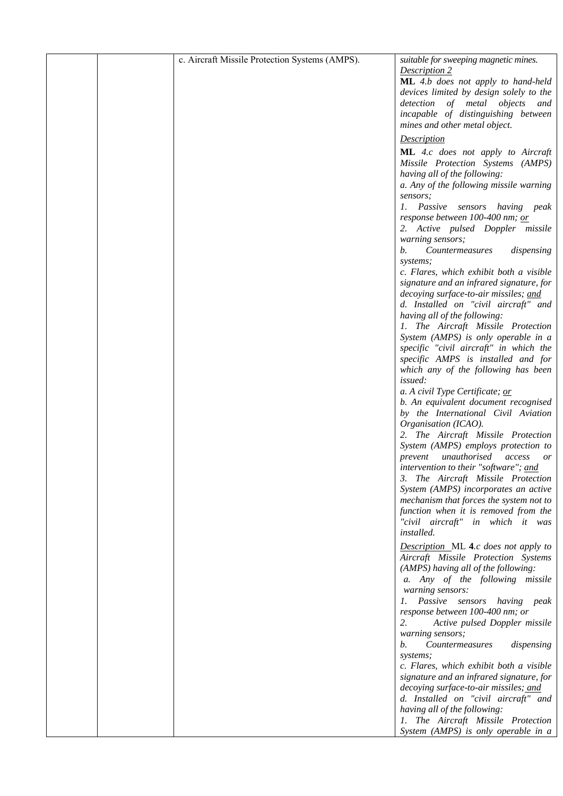| c. Aircraft Missile Protection Systems (AMPS). | suitable for sweeping magnetic mines.<br><b>Description 2</b><br>ML 4.b does not apply to hand-held<br>devices limited by design solely to the<br>detection of metal objects<br>and<br>incapable of distinguishing between<br>mines and other metal object. |
|------------------------------------------------|-------------------------------------------------------------------------------------------------------------------------------------------------------------------------------------------------------------------------------------------------------------|
|                                                |                                                                                                                                                                                                                                                             |
|                                                | <b>Description</b>                                                                                                                                                                                                                                          |
|                                                | ML 4.c does not apply to Aircraft<br>Missile Protection Systems (AMPS)<br>having all of the following:<br>a. Any of the following missile warning<br>sensors;<br>1. Passive sensors having peak                                                             |
|                                                | response between 100-400 nm; or<br>2. Active pulsed Doppler missile<br>warning sensors;<br>Countermeasures<br>dispensing<br>b.                                                                                                                              |
|                                                | systems;                                                                                                                                                                                                                                                    |
|                                                | c. Flares, which exhibit both a visible<br>signature and an infrared signature, for<br>decoying surface-to-air missiles; and<br>d. Installed on "civil aircraft" and                                                                                        |
|                                                | having all of the following:<br>1. The Aircraft Missile Protection<br>System (AMPS) is only operable in a                                                                                                                                                   |
|                                                | specific "civil aircraft" in which the<br>specific AMPS is installed and for<br>which any of the following has been                                                                                                                                         |
|                                                | <i>issued:</i><br>a. A civil Type Certificate; or                                                                                                                                                                                                           |
|                                                | b. An equivalent document recognised<br>by the International Civil Aviation<br>Organisation (ICAO).                                                                                                                                                         |
|                                                | 2. The Aircraft Missile Protection<br>System (AMPS) employs protection to<br>unauthorised<br>prevent<br>access<br>or                                                                                                                                        |
|                                                | <i>intervention to their "software"; and</i><br>3. The Aircraft Missile Protection<br>System (AMPS) incorporates an active                                                                                                                                  |
|                                                | mechanism that forces the system not to<br>function when it is removed from the<br>"civil aircraft" in which it was<br>installed.                                                                                                                           |
|                                                | <b>Description</b> ML 4.c does not apply to<br>Aircraft Missile Protection Systems<br>(AMPS) having all of the following:                                                                                                                                   |
|                                                | a. Any of the following missile<br>warning sensors:<br>1. Passive sensors having peak                                                                                                                                                                       |
|                                                | response between 100-400 nm; or<br>2.<br>Active pulsed Doppler missile<br>warning sensors;                                                                                                                                                                  |
|                                                | dispensing<br>Countermeasures<br>b.<br>systems;                                                                                                                                                                                                             |
|                                                | c. Flares, which exhibit both a visible<br>signature and an infrared signature, for                                                                                                                                                                         |
|                                                | decoying surface-to-air missiles; and<br>d. Installed on "civil aircraft" and                                                                                                                                                                               |
|                                                | having all of the following:<br>1. The Aircraft Missile Protection                                                                                                                                                                                          |
|                                                | System (AMPS) is only operable in a                                                                                                                                                                                                                         |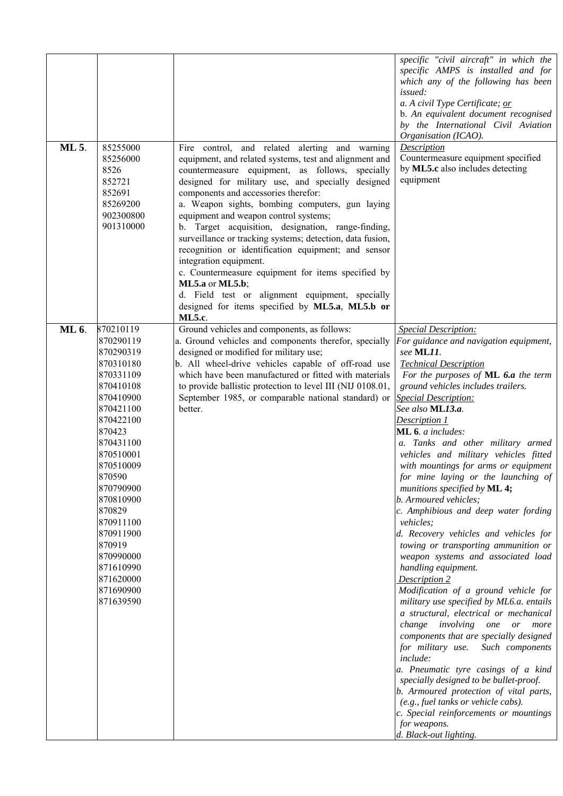|       |                                                                                                                                                                                                                                                                                                                       |                                                                                                                                                                                                                                                                                                                                                                                                                                                                                                                                                                                                                                                                                                                                                               | specific "civil aircraft" in which the<br>specific AMPS is installed and for<br>which any of the following has been<br>issued:<br>a. A civil Type Certificate; or<br>b. An equivalent document recognised<br>by the International Civil Aviation<br>Organisation (ICAO).                                                                                                                                                                                                                                                                                                                                                                                                                                                                                                                                                                                                                                                                                                                                                                                                                                                                                                                                                                                                             |
|-------|-----------------------------------------------------------------------------------------------------------------------------------------------------------------------------------------------------------------------------------------------------------------------------------------------------------------------|---------------------------------------------------------------------------------------------------------------------------------------------------------------------------------------------------------------------------------------------------------------------------------------------------------------------------------------------------------------------------------------------------------------------------------------------------------------------------------------------------------------------------------------------------------------------------------------------------------------------------------------------------------------------------------------------------------------------------------------------------------------|--------------------------------------------------------------------------------------------------------------------------------------------------------------------------------------------------------------------------------------------------------------------------------------------------------------------------------------------------------------------------------------------------------------------------------------------------------------------------------------------------------------------------------------------------------------------------------------------------------------------------------------------------------------------------------------------------------------------------------------------------------------------------------------------------------------------------------------------------------------------------------------------------------------------------------------------------------------------------------------------------------------------------------------------------------------------------------------------------------------------------------------------------------------------------------------------------------------------------------------------------------------------------------------|
| ML 5. | 85255000<br>85256000<br>8526<br>852721<br>852691<br>85269200<br>902300800<br>901310000                                                                                                                                                                                                                                | Fire control, and related alerting and warning<br>equipment, and related systems, test and alignment and<br>countermeasure equipment, as follows, specially<br>designed for military use, and specially designed<br>components and accessories therefor:<br>a. Weapon sights, bombing computers, gun laying<br>equipment and weapon control systems;<br>b. Target acquisition, designation, range-finding,<br>surveillance or tracking systems; detection, data fusion,<br>recognition or identification equipment; and sensor<br>integration equipment.<br>c. Countermeasure equipment for items specified by<br>$ML5.a$ or $ML5.b$ ;<br>d. Field test or alignment equipment, specially<br>designed for items specified by ML5.a, ML5.b or<br><b>ML5.c.</b> | <b>Description</b><br>Countermeasure equipment specified<br>by ML5.c also includes detecting<br>equipment                                                                                                                                                                                                                                                                                                                                                                                                                                                                                                                                                                                                                                                                                                                                                                                                                                                                                                                                                                                                                                                                                                                                                                            |
| ML 6. | 870210119<br>870290119<br>870290319<br>870310180<br>870331109<br>870410108<br>870410900<br>870421100<br>870422100<br>870423<br>870431100<br>870510001<br>870510009<br>870590<br>870790900<br>870810900<br>870829<br>870911100<br>870911900<br>870919<br>870990000<br>871610990<br>871620000<br>871690900<br>871639590 | Ground vehicles and components, as follows:<br>a. Ground vehicles and components therefor, specially<br>designed or modified for military use;<br>b. All wheel-drive vehicles capable of off-road use<br>which have been manufactured or fitted with materials<br>to provide ballistic protection to level III (NIJ 0108.01,<br>September 1985, or comparable national standard) or<br>better.                                                                                                                                                                                                                                                                                                                                                                | <b>Special Description:</b><br>For guidance and navigation equipment,<br>see ML11.<br><b>Technical Description</b><br>For the purposes of ML 6.a the term<br>ground vehicles includes trailers.<br><b>Special Description:</b><br>See also ML13.a.<br>Description 1<br>ML 6. a includes:<br>a. Tanks and other military armed<br>vehicles and military vehicles fitted<br>with mountings for arms or equipment<br>for mine laying or the launching of<br>munitions specified by <b>ML 4;</b><br>b. Armoured vehicles;<br>c. Amphibious and deep water fording<br><i>vehicles;</i><br>d. Recovery vehicles and vehicles for<br>towing or transporting ammunition or<br>weapon systems and associated load<br>handling equipment.<br>Description 2<br>Modification of a ground vehicle for<br>military use specified by ML6.a. entails<br>a structural, electrical or mechanical<br>change<br>involving<br>$\emph{one}$<br>or more<br>components that are specially designed<br>for military use.<br>Such components<br>include:<br>a. Pneumatic tyre casings of a kind<br>specially designed to be bullet-proof.<br>b. Armoured protection of vital parts,<br>(e.g., fuel tanks or vehicle cabs).<br>c. Special reinforcements or mountings<br>for weapons.<br>d. Black-out lighting. |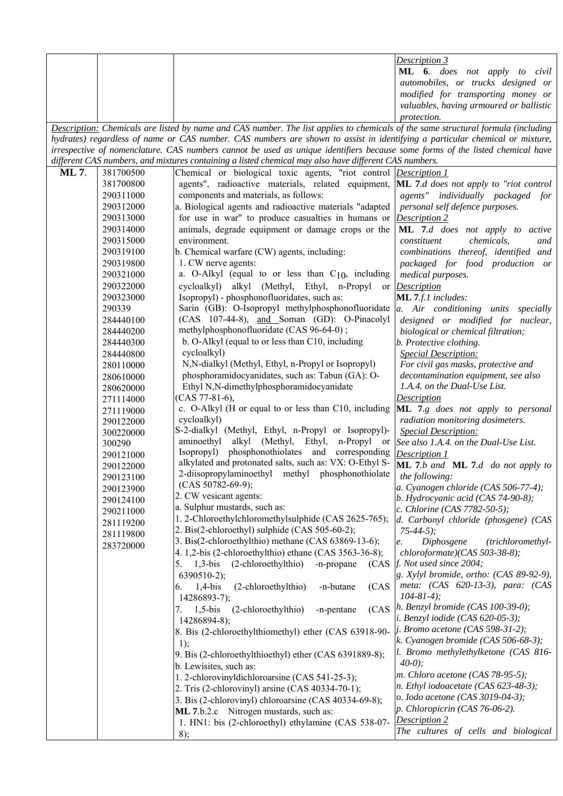|       |           |                                                                                                                                   | Description 3                           |
|-------|-----------|-----------------------------------------------------------------------------------------------------------------------------------|-----------------------------------------|
|       |           |                                                                                                                                   | ML 6. does not apply to civil           |
|       |           |                                                                                                                                   |                                         |
|       |           |                                                                                                                                   | automobiles, or trucks designed or      |
|       |           |                                                                                                                                   | modified for transporting money or      |
|       |           |                                                                                                                                   | valuables, having armoured or ballistic |
|       |           |                                                                                                                                   | <i>protection.</i>                      |
|       |           | Description: Chemicals are listed by name and CAS number. The list applies to chemicals of the same structural formula (including |                                         |
|       |           | hydrates) regardless of name or CAS number. CAS numbers are shown to assist in identifying a particular chemical or mixture,      |                                         |
|       |           | irrespective of nomenclature. CAS numbers cannot be used as unique identifiers because some forms of the listed chemical have     |                                         |
|       |           | different CAS numbers, and mixtures containing a listed chemical may also have different CAS numbers.                             |                                         |
| ML 7. | 381700500 | Chemical or biological toxic agents, "riot control <i>Description 1</i>                                                           |                                         |
|       | 381700800 | agents", radioactive materials, related equipment, ML 7.d does not apply to "riot control                                         |                                         |
|       | 290311000 | components and materials, as follows:                                                                                             | agents" individually packaged for       |
|       | 290312000 | a. Biological agents and radioactive materials "adapted                                                                           | personal self defence purposes.         |
|       | 290313000 | for use in war" to produce casualties in humans or                                                                                | Description 2                           |
|       | 290314000 | animals, degrade equipment or damage crops or the                                                                                 | ML 7.d does not apply to active         |
|       | 290315000 | environment.                                                                                                                      | chemicals,<br>constituent<br>and        |
|       | 290319100 | b. Chemical warfare (CW) agents, including:                                                                                       | combinations thereof, identified and    |
|       |           |                                                                                                                                   |                                         |
|       | 290319800 | 1. CW nerve agents:<br>a. O-Alkyl (equal to or less than $C_{10}$ , including                                                     | packaged for food production or         |
|       | 290321000 |                                                                                                                                   | medical purposes.                       |
|       | 290322000 | cycloalkyl) alkyl (Methyl, Ethyl, n-Propyl<br><sub>or</sub>                                                                       | <b>Description</b>                      |
|       | 290323000 | Isopropyl) - phosphonofluoridates, such as:                                                                                       | ML 7.f.1 includes:                      |
|       | 290339    | Sarin (GB): O-Isopropyl methylphosphonofluoridate                                                                                 | a. Air conditioning units specially     |
|       | 284440100 | (CAS 107-44-8), and Soman (GD): O-Pinacolyl                                                                                       | designed or modified for nuclear,       |
|       | 284440200 | methylphosphonofluoridate (CAS 96-64-0);                                                                                          | biological or chemical filtration;      |
|       | 284440300 | b. O-Alkyl (equal to or less than C10, including                                                                                  | b. Protective clothing.                 |
|       | 284440800 | cycloalkyl)                                                                                                                       | <b>Special Description:</b>             |
|       | 280110000 | N,N-dialkyl (Methyl, Ethyl, n-Propyl or Isopropyl)                                                                                | For civil gas masks, protective and     |
|       | 280610000 | phosphoramidocyanidates, such as: Tabun (GA): O-                                                                                  | decontamination equipment, see also     |
|       | 280620000 | Ethyl N,N-dimethylphosphoramidocyanidate                                                                                          | 1.A.4. on the Dual-Use List.            |
|       | 271114000 | $(CAS 77-81-6),$                                                                                                                  | <b>Description</b>                      |
|       | 271119000 | c. O-Alkyl (H or equal to or less than C10, including                                                                             | ML 7.g does not apply to personal       |
|       | 290122000 | cycloalkyl)                                                                                                                       | radiation monitoring dosimeters.        |
|       | 300220000 | S-2-dialkyl (Methyl, Ethyl, n-Propyl or Isopropyl)-                                                                               | <b>Special Description:</b>             |
|       | 300290    | alkyl (Methyl, Ethyl,<br>n-Propyl<br>aminoethyl<br><sub>or</sub>                                                                  | See also 1.A.4. on the Dual-Use List.   |
|       | 290121000 | Isopropyl) phosphonothiolates and<br>corresponding                                                                                | Description 1                           |
|       | 290122000 | alkylated and protonated salts, such as: VX: O-Ethyl S-                                                                           | ML 7.b and ML 7.d do not apply to       |
|       | 290123100 | 2-diisopropylaminoethyl methyl phosphonothiolate                                                                                  | the following:                          |
|       |           | $(CAS 50782-69-9);$                                                                                                               | a. Cyanogen chloride (CAS 506-77-4);    |
|       | 290123900 | 2. CW vesicant agents:                                                                                                            | b. Hydrocyanic acid (CAS 74-90-8);      |
|       | 290124100 | a. Sulphur mustards, such as:                                                                                                     | c. Chlorine (CAS 7782-50-5);            |
|       | 290211000 | 1. 2-Chloroethylchloromethylsulphide (CAS 2625-765);                                                                              | d. Carbonyl chloride (phosgene) (CAS    |
|       | 281119200 | 2. Bis(2-chloroethyl) sulphide (CAS 505-60-2);                                                                                    | $75-44-5$ ;                             |
|       | 281119800 | 3. Bis(2-chloroethylthio) methane (CAS 63869-13-6);                                                                               | Diphosgene<br>(trichloromethyl-<br>e.   |
|       | 283720000 | 4. 1,2-bis (2-chloroethylthio) ethane (CAS 3563-36-8);                                                                            | chloroformate)(CAS 503-38-8);           |
|       |           | 1,3-bis (2-chloroethylthio)<br>-n-propane<br>5.                                                                                   | (CAS f. Not used since 2004;            |
|       |           | $6390510-2$ ;                                                                                                                     | g. Xylyl bromide, ortho: (CAS 89-92-9), |
|       |           | $1,4-b$ is<br>(2-chloroethylthio)<br>(CAS)<br>-n-butane<br>6.                                                                     | meta: (CAS 620-13-3), para: (CAS        |
|       |           | 14286893-7);                                                                                                                      | $104 - 81 - 4$ ;                        |
|       |           | $1,5-b$ is                                                                                                                        | (CAS  h. Benzyl bromide (CAS 100-39-0); |
|       |           | (2-chloroethylthio)<br>-n-pentane<br>7.                                                                                           | i. Benzyl iodide (CAS $620-05-3$ );     |
|       |           | 14286894-8);                                                                                                                      | j. Bromo acetone (CAS 598-31-2);        |
|       |           | 8. Bis (2-chloroethylthiomethyl) ether (CAS 63918-90-                                                                             | k. Cyanogen bromide (CAS 506-68-3);     |
|       |           | 1);                                                                                                                               |                                         |
|       |           | 9. Bis (2-chloroethylthioethyl) ether (CAS 6391889-8);                                                                            | l. Bromo methylethylketone (CAS 816-    |
|       |           | b. Lewisites, such as:                                                                                                            | $40-0$ ;                                |
|       |           | 1. 2-chlorovinyldichloroarsine (CAS 541-25-3);                                                                                    | m. Chloro acetone (CAS 78-95-5);        |
|       |           | 2. Tris (2-chlorovinyl) arsine (CAS 40334-70-1);                                                                                  | n. Ethyl iodoacetate (CAS 623-48-3);    |
|       |           | 3. Bis (2-chlorovinyl) chloroarsine (CAS 40334-69-8);                                                                             | o. Iodo acetone (CAS 3019-04-3);        |
|       |           | ML 7.b.2.c Nitrogen mustards, such as:                                                                                            | p. Chloropicrin (CAS 76-06-2).          |
|       |           | 1. HN1: bis (2-chloroethyl) ethylamine (CAS 538-07-                                                                               | Description 2                           |
|       |           | 8);                                                                                                                               | The cultures of cells and biological    |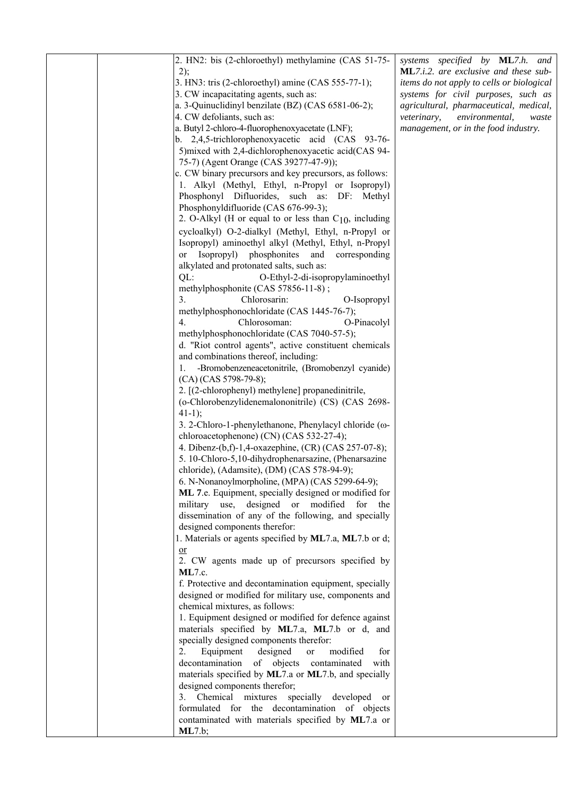| 2. HN2: bis (2-chloroethyl) methylamine (CAS 51-75-<br>2);<br>3. HN3: tris (2-chloroethyl) amine (CAS 555-77-1);<br>3. CW incapacitating agents, such as:<br>a. 3-Quinuclidinyl benzilate (BZ) (CAS 6581-06-2);<br>4. CW defoliants, such as:<br>a. Butyl 2-chloro-4-fluorophenoxyacetate (LNF);<br>b. 2,4,5-trichlorophenoxyacetic acid (CAS 93-76-<br>5) mixed with 2,4-dichlorophenoxyacetic acid(CAS 94-<br>75-7) (Agent Orange (CAS 39277-47-9));<br>c. CW binary precursors and key precursors, as follows:<br>1. Alkyl (Methyl, Ethyl, n-Propyl or Isopropyl)<br>Phosphonyl Difluorides, such as: DF: Methyl<br>Phosphonyldifluoride (CAS 676-99-3);<br>2. O-Alkyl (H or equal to or less than $C_{10}$ , including<br>cycloalkyl) O-2-dialkyl (Methyl, Ethyl, n-Propyl or<br>Isopropyl) aminoethyl alkyl (Methyl, Ethyl, n-Propyl<br>Isopropyl) phosphonites and<br>corresponding<br><sub>or</sub><br>alkylated and protonated salts, such as:<br>O-Ethyl-2-di-isopropylaminoethyl<br>QL:<br>methylphosphonite (CAS 57856-11-8);<br>Chlorosarin:<br>3.<br>O-Isopropyl<br>methylphosphonochloridate (CAS 1445-76-7);<br>4.<br>Chlorosoman:<br>O-Pinacolyl<br>methylphosphonochloridate (CAS 7040-57-5);<br>d. "Riot control agents", active constituent chemicals<br>and combinations thereof, including:<br>-Bromobenzeneacetonitrile, (Bromobenzyl cyanide)<br>1.<br>(CA) (CAS 5798-79-8);<br>2. [(2-chlorophenyl) methylene] propanedinitrile,<br>(o-Chlorobenzylidenemalononitrile) (CS) (CAS 2698-<br>$41-1);$<br>3. 2-Chloro-1-phenylethanone, Phenylacyl chloride (ω-<br>chloroacetophenone) (CN) (CAS 532-27-4);<br>4. Dibenz-(b,f)-1,4-oxazephine, (CR) (CAS 257-07-8);<br>5. 10-Chloro-5,10-dihydrophenarsazine, (Phenarsazine<br>chloride), (Adamsite), (DM) (CAS 578-94-9);<br>6. N-Nonanoylmorpholine, (MPA) (CAS 5299-64-9);<br>ML 7.e. Equipment, specially designed or modified for<br>military use, designed or modified for the<br>dissemination of any of the following, and specially<br>designed components therefor:<br>1. Materials or agents specified by ML7.a, ML7.b or d;<br>$or$<br>2. CW agents made up of precursors specified by<br><b>ML7.c.</b><br>f. Protective and decontamination equipment, specially<br>designed or modified for military use, components and<br>chemical mixtures, as follows:<br>1. Equipment designed or modified for defence against<br>materials specified by ML7.a, ML7.b or d, and<br>specially designed components therefor:<br>Equipment<br>designed<br>2.<br>modified<br><sub>or</sub><br>for<br>decontamination<br>of objects contaminated<br>with<br>materials specified by ML7.a or ML7.b, and specially | systems specified by ML7.h. and<br>ML7.i.2. are exclusive and these sub-<br>items do not apply to cells or biological<br>systems for civil purposes, such as<br>agricultural, pharmaceutical, medical,<br><i>veterinary,</i><br>environmental,<br>waste<br>management, or in the food industry. |
|------------------------------------------------------------------------------------------------------------------------------------------------------------------------------------------------------------------------------------------------------------------------------------------------------------------------------------------------------------------------------------------------------------------------------------------------------------------------------------------------------------------------------------------------------------------------------------------------------------------------------------------------------------------------------------------------------------------------------------------------------------------------------------------------------------------------------------------------------------------------------------------------------------------------------------------------------------------------------------------------------------------------------------------------------------------------------------------------------------------------------------------------------------------------------------------------------------------------------------------------------------------------------------------------------------------------------------------------------------------------------------------------------------------------------------------------------------------------------------------------------------------------------------------------------------------------------------------------------------------------------------------------------------------------------------------------------------------------------------------------------------------------------------------------------------------------------------------------------------------------------------------------------------------------------------------------------------------------------------------------------------------------------------------------------------------------------------------------------------------------------------------------------------------------------------------------------------------------------------------------------------------------------------------------------------------------------------------------------------------------------------------------------------------------------------------------------------------------------------------------------------------------------------------------------------------------------------------------------------------------------------------------------------------------------------|-------------------------------------------------------------------------------------------------------------------------------------------------------------------------------------------------------------------------------------------------------------------------------------------------|
|                                                                                                                                                                                                                                                                                                                                                                                                                                                                                                                                                                                                                                                                                                                                                                                                                                                                                                                                                                                                                                                                                                                                                                                                                                                                                                                                                                                                                                                                                                                                                                                                                                                                                                                                                                                                                                                                                                                                                                                                                                                                                                                                                                                                                                                                                                                                                                                                                                                                                                                                                                                                                                                                                    |                                                                                                                                                                                                                                                                                                 |
|                                                                                                                                                                                                                                                                                                                                                                                                                                                                                                                                                                                                                                                                                                                                                                                                                                                                                                                                                                                                                                                                                                                                                                                                                                                                                                                                                                                                                                                                                                                                                                                                                                                                                                                                                                                                                                                                                                                                                                                                                                                                                                                                                                                                                                                                                                                                                                                                                                                                                                                                                                                                                                                                                    |                                                                                                                                                                                                                                                                                                 |
|                                                                                                                                                                                                                                                                                                                                                                                                                                                                                                                                                                                                                                                                                                                                                                                                                                                                                                                                                                                                                                                                                                                                                                                                                                                                                                                                                                                                                                                                                                                                                                                                                                                                                                                                                                                                                                                                                                                                                                                                                                                                                                                                                                                                                                                                                                                                                                                                                                                                                                                                                                                                                                                                                    |                                                                                                                                                                                                                                                                                                 |
|                                                                                                                                                                                                                                                                                                                                                                                                                                                                                                                                                                                                                                                                                                                                                                                                                                                                                                                                                                                                                                                                                                                                                                                                                                                                                                                                                                                                                                                                                                                                                                                                                                                                                                                                                                                                                                                                                                                                                                                                                                                                                                                                                                                                                                                                                                                                                                                                                                                                                                                                                                                                                                                                                    |                                                                                                                                                                                                                                                                                                 |
| designed components therefor;                                                                                                                                                                                                                                                                                                                                                                                                                                                                                                                                                                                                                                                                                                                                                                                                                                                                                                                                                                                                                                                                                                                                                                                                                                                                                                                                                                                                                                                                                                                                                                                                                                                                                                                                                                                                                                                                                                                                                                                                                                                                                                                                                                                                                                                                                                                                                                                                                                                                                                                                                                                                                                                      |                                                                                                                                                                                                                                                                                                 |
| 3. Chemical mixtures specially<br>developed<br><sub>or</sub>                                                                                                                                                                                                                                                                                                                                                                                                                                                                                                                                                                                                                                                                                                                                                                                                                                                                                                                                                                                                                                                                                                                                                                                                                                                                                                                                                                                                                                                                                                                                                                                                                                                                                                                                                                                                                                                                                                                                                                                                                                                                                                                                                                                                                                                                                                                                                                                                                                                                                                                                                                                                                       |                                                                                                                                                                                                                                                                                                 |
| formulated for the decontamination of objects                                                                                                                                                                                                                                                                                                                                                                                                                                                                                                                                                                                                                                                                                                                                                                                                                                                                                                                                                                                                                                                                                                                                                                                                                                                                                                                                                                                                                                                                                                                                                                                                                                                                                                                                                                                                                                                                                                                                                                                                                                                                                                                                                                                                                                                                                                                                                                                                                                                                                                                                                                                                                                      |                                                                                                                                                                                                                                                                                                 |
| contaminated with materials specified by ML7.a or                                                                                                                                                                                                                                                                                                                                                                                                                                                                                                                                                                                                                                                                                                                                                                                                                                                                                                                                                                                                                                                                                                                                                                                                                                                                                                                                                                                                                                                                                                                                                                                                                                                                                                                                                                                                                                                                                                                                                                                                                                                                                                                                                                                                                                                                                                                                                                                                                                                                                                                                                                                                                                  |                                                                                                                                                                                                                                                                                                 |
| ML7.b;                                                                                                                                                                                                                                                                                                                                                                                                                                                                                                                                                                                                                                                                                                                                                                                                                                                                                                                                                                                                                                                                                                                                                                                                                                                                                                                                                                                                                                                                                                                                                                                                                                                                                                                                                                                                                                                                                                                                                                                                                                                                                                                                                                                                                                                                                                                                                                                                                                                                                                                                                                                                                                                                             |                                                                                                                                                                                                                                                                                                 |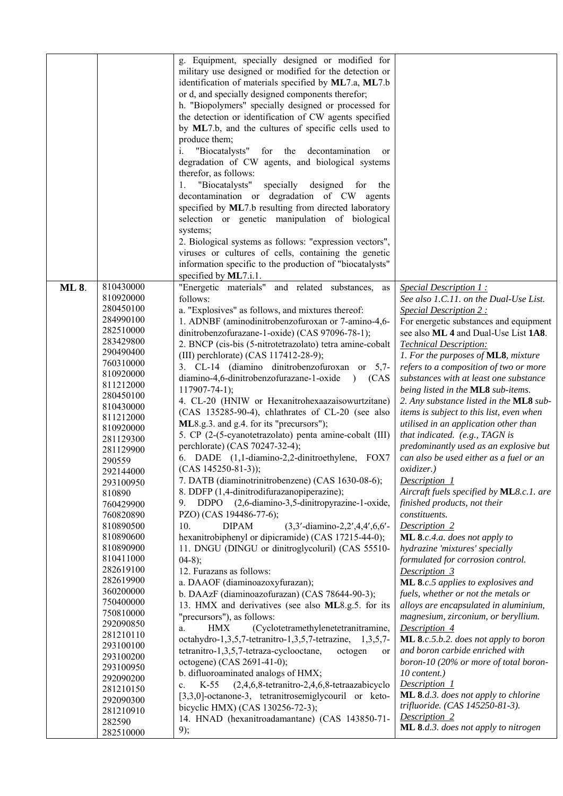|              |           | g. Equipment, specially designed or modified for                           |                                          |
|--------------|-----------|----------------------------------------------------------------------------|------------------------------------------|
|              |           | military use designed or modified for the detection or                     |                                          |
|              |           |                                                                            |                                          |
|              |           | identification of materials specified by ML7.a, ML7.b                      |                                          |
|              |           | or d, and specially designed components therefor;                          |                                          |
|              |           | h. "Biopolymers" specially designed or processed for                       |                                          |
|              |           | the detection or identification of CW agents specified                     |                                          |
|              |           | by ML7.b, and the cultures of specific cells used to                       |                                          |
|              |           |                                                                            |                                          |
|              |           | produce them;                                                              |                                          |
|              |           | "Biocatalysts"<br>$i$ .<br>for the<br>decontamination<br>or                |                                          |
|              |           | degradation of CW agents, and biological systems                           |                                          |
|              |           | therefor, as follows:                                                      |                                          |
|              |           | "Biocatalysts"<br>specially<br>1.                                          |                                          |
|              |           | designed<br>for<br>the                                                     |                                          |
|              |           | decontamination or degradation of CW agents                                |                                          |
|              |           | specified by ML7.b resulting from directed laboratory                      |                                          |
|              |           | selection or genetic manipulation of biological                            |                                          |
|              |           | systems;                                                                   |                                          |
|              |           | 2. Biological systems as follows: "expression vectors",                    |                                          |
|              |           |                                                                            |                                          |
|              |           | viruses or cultures of cells, containing the genetic                       |                                          |
|              |           | information specific to the production of "biocatalysts"                   |                                          |
|              |           | specified by <b>ML</b> 7.i.1.                                              |                                          |
| <b>ML 8.</b> | 810430000 | "Energetic materials" and related substances, as                           | <b>Special Description 1:</b>            |
|              | 810920000 | follows:                                                                   | See also 1.C.11. on the Dual-Use List.   |
|              | 280450100 |                                                                            |                                          |
|              |           | a. "Explosives" as follows, and mixtures thereof:                          | Special Description 2 :                  |
|              | 284990100 | 1. ADNBF (aminodinitrobenzofuroxan or 7-amino-4,6-                         | For energetic substances and equipment   |
|              | 282510000 | dinitrobenzofurazane-1-oxide) (CAS 97096-78-1);                            | see also ML 4 and Dual-Use List 1A8.     |
|              | 283429800 | 2. BNCP (cis-bis (5-nitrotetrazolato) tetra amine-cobalt                   | <b>Technical Description:</b>            |
|              | 290490400 | (III) perchlorate) (CAS 117412-28-9);                                      | 1. For the purposes of ML8, mixture      |
|              | 760310000 | 3. CL-14 (diamino dinitrobenzofuroxan or 5,7-                              |                                          |
|              | 810920000 |                                                                            | refers to a composition of two or more   |
|              | 811212000 | diamino-4,6-dinitrobenzofurazane-1-oxide<br>(CAS)<br>$\rightarrow$         | substances with at least one substance   |
|              | 280450100 | $117907 - 74 - 1$ ;                                                        | being listed in the ML8 sub-items.       |
|              |           | 4. CL-20 (HNIW or Hexanitrohexaazaisowurtzitane)                           | 2. Any substance listed in the ML8 sub-  |
|              | 810430000 | (CAS 135285-90-4), chlathrates of CL-20 (see also                          | items is subject to this list, even when |
|              | 811212000 | ML8.g.3. and g.4. for its "precursors");                                   | utilised in an application other than    |
|              | 810920000 |                                                                            |                                          |
|              | 281129300 | 5. CP (2-(5-cyanotetrazolato) penta amine-cobalt (III)                     | that indicated. (e.g., TAGN is           |
|              | 281129900 | perchlorate) (CAS 70247-32-4);                                             | predominantly used as an explosive but   |
|              | 290559    | 6. DADE (1,1-diamino-2,2-dinitroethylene, FOX7                             | can also be used either as a fuel or an  |
|              | 292144000 | $(CAS 145250-81-3)$ ;                                                      | oxidizer.)                               |
|              | 293100950 | 7. DATB (diaminotrinitrobenzene) (CAS 1630-08-6);                          | <b>Description 1</b>                     |
|              |           | 8. DDFP (1,4-dinitrodifurazanopiperazine);                                 | Aircraft fuels specified by ML8.c.1. are |
|              | 810890    | 9. DDPO (2,6-diamino-3,5-dinitropyrazine-1-oxide,                          |                                          |
|              | 760429900 |                                                                            | finished products, not their             |
|              | 760820890 | PZO) (CAS 194486-77-6);                                                    | constituents.                            |
|              | 810890500 | <b>DIPAM</b><br>$(3,3'-diamino-2,2',4,4',6,6'-$<br>10.                     | Description 2                            |
|              | 810890600 | hexanitrobiphenyl or dipicramide) (CAS 17215-44-0);                        | ML 8.c.4.a. does not apply to            |
|              | 810890900 | 11. DNGU (DINGU or dinitroglycoluril) (CAS 55510-                          | hydrazine 'mixtures' specially           |
|              | 810411000 | $04-8);$                                                                   | formulated for corrosion control.        |
|              | 282619100 | 12. Furazans as follows:                                                   | Description 3                            |
|              | 282619900 |                                                                            |                                          |
|              | 360200000 | a. DAAOF (diaminoazoxyfurazan);                                            | ML 8.c.5 applies to explosives and       |
|              |           | b. DAAzF (diaminoazofurazan) (CAS 78644-90-3);                             | fuels, whether or not the metals or      |
|              | 750400000 | 13. HMX and derivatives (see also ML8.g.5. for its                         | alloys are encapsulated in aluminium,    |
|              | 750810000 | "precursors"), as follows:                                                 | magnesium, zirconium, or beryllium.      |
|              | 292090850 | <b>HMX</b><br>(Cyclotetramethylenetetranitramine,<br>a.                    | Description 4                            |
|              | 281210110 | octahydro-1,3,5,7-tetranitro-1,3,5,7-tetrazine, 1,3,5,7-                   | ML 8.c.5.b.2. does not apply to boron    |
|              | 293100100 |                                                                            |                                          |
|              | 293100200 | tetranitro-1,3,5,7-tetraza-cyclooctane,<br>octogen<br><sub>or</sub>        | and boron carbide enriched with          |
|              | 293100950 | octogene) (CAS 2691-41-0);                                                 | boron-10 (20% or more of total boron-    |
|              | 292090200 | b. difluoroaminated analogs of HMX;                                        | 10 content.)                             |
|              | 281210150 | $(2,4,6,8$ -tetranitro-2,4,6,8-tetraazabicyclo<br>$K-55$<br>$\mathbf{c}$ . | Description 1                            |
|              |           | [3,3,0]-octanone-3, tetranitrosemiglycouril or keto-                       | ML 8.d.3. does not apply to chlorine     |
|              | 292090300 | bicyclic HMX) (CAS 130256-72-3);                                           | trifluoride. (CAS 145250-81-3).          |
|              | 281210910 | 14. HNAD (hexanitroadamantane) (CAS 143850-71-                             | Description 2                            |
|              | 282590    |                                                                            | ML 8.d.3. does not apply to nitrogen     |
|              | 282510000 | 9);                                                                        |                                          |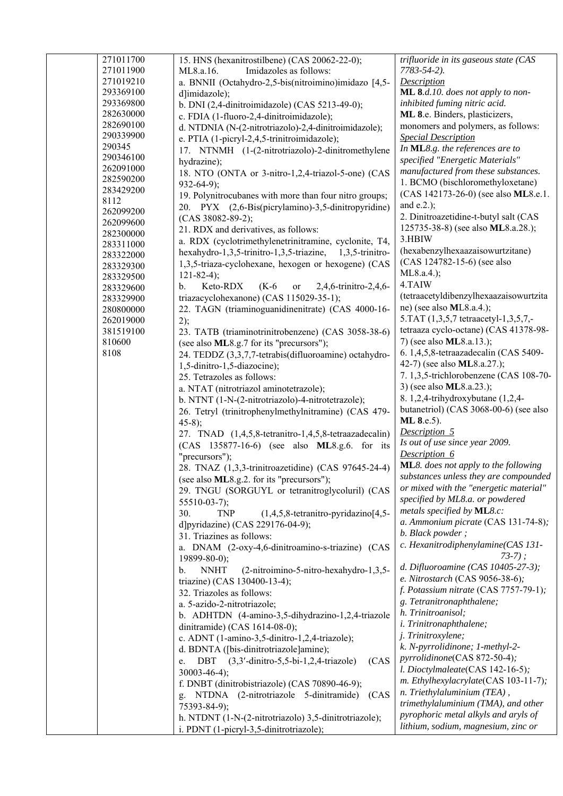| 271011700 | 15. HNS (hexanitrostilbene) (CAS 20062-22-0);                | trifluoride in its gaseous state (CAS  |
|-----------|--------------------------------------------------------------|----------------------------------------|
| 271011900 | Imidazoles as follows:<br>ML8.a.16.                          | $7783 - 54 - 2$ ).                     |
|           |                                                              |                                        |
| 271019210 | a. BNNII (Octahydro-2,5-bis(nitroimino)imidazo [4,5-         | <b>Description</b>                     |
| 293369100 | d]imidazole);                                                | ML 8.d.10. does not apply to non-      |
| 293369800 | b. DNI $(2,4$ -dinitroimidazole) (CAS 5213-49-0);            | inhibited fuming nitric acid.          |
| 282630000 |                                                              | ML 8.e. Binders, plasticizers,         |
|           | c. FDIA (1-fluoro-2,4-dinitroimidazole);                     |                                        |
| 282690100 | d. NTDNIA (N-(2-nitrotriazolo)-2,4-dinitroimidazole);        | monomers and polymers, as follows:     |
| 290339900 | e. PTIA (1-picryl-2,4,5-trinitroimidazole);                  | <b>Special Description</b>             |
| 290345    | 17. NTNMH (1-(2-nitrotriazolo)-2-dinitromethylene            | In ML8.g. the references are to        |
| 290346100 |                                                              |                                        |
|           | hydrazine);                                                  | specified "Energetic Materials"        |
| 262091000 | 18. NTO (ONTA or 3-nitro-1,2,4-triazol-5-one) (CAS           | manufactured from these substances.    |
| 282590200 | $932 - 64 - 9$ ;                                             | 1. BCMO (bischloromethyloxetane)       |
| 283429200 |                                                              | (CAS 142173-26-0) (see also ML8.e.1.   |
| 8112      | 19. Polynitrocubanes with more than four nitro groups;       |                                        |
| 262099200 | 20. PYX (2,6-Bis(picrylamino)-3,5-dinitropyridine)           | and $e.2$ .);                          |
|           | $(CAS 38082-89-2);$                                          | 2. Dinitroazetidine-t-butyl salt (CAS  |
| 262099600 |                                                              | 125735-38-8) (see also ML8.a.28.);     |
| 282300000 | 21. RDX and derivatives, as follows:                         |                                        |
| 283311000 | a. RDX (cyclotrimethylenetrinitramine, cyclonite, T4,        | 3.HBIW                                 |
| 283322000 | hexahydro-1,3,5-trinitro-1,3,5-triazine, $1,3,5$ -trinitro-  | (hexabenzylhexaazaisowurtzitane)       |
|           | 1,3,5-triaza-cyclohexane, hexogen or hexogene) (CAS          | (CAS 124782-15-6) (see also            |
| 283329300 |                                                              | $ML8.a.4.$ );                          |
| 283329500 | $121 - 82 - 4$ ;                                             |                                        |
| 283329600 | Keto-RDX<br>$(K-6)$<br>2,4,6-trinitro-2,4,6-<br>b.<br>or     | 4.TAIW                                 |
| 283329900 | triazacyclohexanone) (CAS 115029-35-1);                      | (tetraacetyldibenzylhexaazaisowurtzita |
|           | 22. TAGN (triaminoguanidinenitrate) (CAS 4000-16-            | ne) (see also ML8.a.4.);               |
| 280800000 |                                                              |                                        |
| 262019000 | 2);                                                          | 5.TAT (1,3,5,7 tetraacetyl-1,3,5,7,-   |
| 381519100 | 23. TATB (triaminotrinitrobenzene) (CAS 3058-38-6)           | tetraaza cyclo-octane) (CAS 41378-98-  |
| 810600    | (see also ML8.g.7 for its "precursors");                     | 7) (see also <b>ML</b> 8.a.13.);       |
| 8108      |                                                              | 6. 1,4,5,8-tetraazadecalin (CAS 5409-  |
|           | 24. TEDDZ (3,3,7,7-tetrabis(difluoroamine) octahydro-        |                                        |
|           | 1,5-dinitro-1,5-diazocine);                                  | 42-7) (see also ML8.a.27.);            |
|           | 25. Tetrazoles as follows:                                   | 7. 1,3,5-trichlorobenzene (CAS 108-70- |
|           | a. NTAT (nitrotriazol aminotetrazole);                       | 3) (see also <b>ML</b> 8.a.23.);       |
|           |                                                              | 8. 1,2,4-trihydroxybutane (1,2,4-      |
|           | b. NTNT (1-N-(2-nitrotriazolo)-4-nitrotetrazole);            |                                        |
|           | 26. Tetryl (trinitrophenylmethylnitramine) (CAS 479-         | butanetriol) (CAS 3068-00-6) (see also |
|           | $45-8$ ;                                                     | <b>ML</b> 8.e.5).                      |
|           |                                                              | Description 5                          |
|           | 27. TNAD (1,4,5,8-tetranitro-1,4,5,8-tetraazadecalin)        |                                        |
|           | (CAS 135877-16-6) (see also ML8.g.6. for its                 | Is out of use since year 2009.         |
|           | "precursors");                                               | Description 6                          |
|           | 28. TNAZ (1,3,3-trinitroazetidine) (CAS 97645-24-4)          | ML8. does not apply to the following   |
|           |                                                              | substances unless they are compounded  |
|           | (see also ML8.g.2. for its "precursors");                    |                                        |
|           | 29. TNGU (SORGUYL or tetranitroglycoluril) (CAS              | or mixed with the "energetic material" |
|           | $55510-03-7$ ;                                               | specified by ML8.a. or powdered        |
|           | 30.<br><b>TNP</b><br>$(1,4,5,8$ -tetranitro-pyridazino[4,5-  | metals specified by ML8.c:             |
|           |                                                              | a. Ammonium picrate (CAS 131-74-8);    |
|           | d]pyridazine) (CAS 229176-04-9);                             |                                        |
|           | 31. Triazines as follows:                                    | b. Black powder;                       |
|           | a. DNAM (2-oxy-4,6-dinitroamino-s-triazine) (CAS             | c. Hexanitrodiphenylamine(CAS 131-     |
|           | $19899 - 80 - 0$ ;                                           | $73-7);$                               |
|           |                                                              | d. Difluoroamine (CAS 10405-27-3);     |
|           | <b>NNHT</b><br>(2-nitroimino-5-nitro-hexahydro-1,3,5-<br>b.  |                                        |
|           | triazine) (CAS 130400-13-4);                                 | e. Nitrostarch (CAS 9056-38-6);        |
|           | 32. Triazoles as follows:                                    | f. Potassium nitrate (CAS 7757-79-1);  |
|           |                                                              | g. Tetranitronaphthalene;              |
|           | a. 5-azido-2-nitrotriazole;                                  |                                        |
|           | b. ADHTDN (4-amino-3,5-dihydrazino-1,2,4-triazole            | h. Trinitroanisol;                     |
|           | dinitramide) (CAS 1614-08-0);                                | <i>i. Trinitronaphthalene;</i>         |
|           | c. ADNT (1-amino-3,5-dinitro-1,2,4-triazole);                | j. Trinitroxylene;                     |
|           |                                                              | k. N-pyrrolidinone; 1-methyl-2-        |
|           | d. BDNTA ([bis-dinitrotriazole]amine);                       |                                        |
|           | $(3,3'-dinitro-5,5-bi-1,2,4-triazole)$<br>(CAS)<br>DBT<br>e. | pyrrolidinone(CAS 872-50-4);           |
|           | $30003-46-4$ ;                                               | l. Dioctylmaleate(CAS 142-16-5);       |
|           | f. DNBT (dinitrobistriazole) (CAS 70890-46-9);               | m. Ethylhexylacrylate(CAS 103-11-7);   |
|           |                                                              | n. Triethylaluminium (TEA),            |
|           | NTDNA (2-nitrotriazole 5-dinitramide)<br>(CAS<br>g.          |                                        |
|           | $75393 - 84 - 9$ ;                                           | trimethylaluminium (TMA), and other    |
|           | h. NTDNT (1-N-(2-nitrotriazolo) 3,5-dinitrotriazole);        | pyrophoric metal alkyls and aryls of   |
|           | i. PDNT (1-picryl-3,5-dinitrotriazole);                      | lithium, sodium, magnesium, zinc or    |
|           |                                                              |                                        |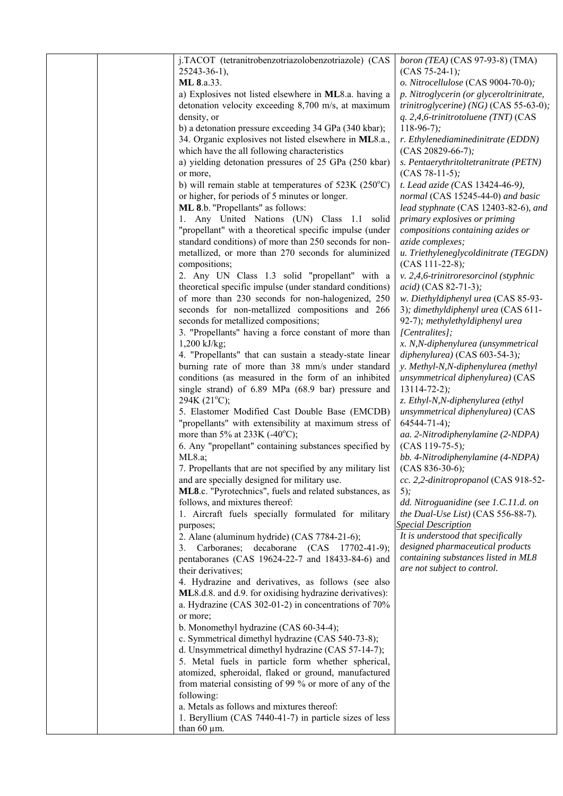| j.TACOT (tetranitrobenzotriazolobenzotriazole) (CAS<br>$25243-36-1$ ,<br>ML 8.a.33.<br>a) Explosives not listed elsewhere in ML8.a. having a<br>detonation velocity exceeding 8,700 m/s, at maximum<br>density, or<br>b) a detonation pressure exceeding 34 GPa (340 kbar);<br>34. Organic explosives not listed elsewhere in ML8.a.,<br>which have the all following characteristics<br>a) yielding detonation pressures of 25 GPa (250 kbar)<br>or more,<br>b) will remain stable at temperatures of $523K (250^{\circ}C)$<br>or higher, for periods of 5 minutes or longer.<br>ML 8.b. "Propellants" as follows:<br>1. Any United Nations (UN) Class 1.1 solid<br>"propellant" with a theoretical specific impulse (under<br>standard conditions) of more than 250 seconds for non-<br>metallized, or more than 270 seconds for aluminized<br>compositions;<br>2. Any UN Class 1.3 solid "propellant" with a<br>theoretical specific impulse (under standard conditions)<br>of more than 230 seconds for non-halogenized, 250<br>seconds for non-metallized compositions and 266<br>seconds for metallized compositions;<br>3. "Propellants" having a force constant of more than<br>$1,200$ kJ/kg;<br>4. "Propellants" that can sustain a steady-state linear<br>burning rate of more than 38 mm/s under standard<br>conditions (as measured in the form of an inhibited<br>single strand) of 6.89 MPa (68.9 bar) pressure and<br>$294K (21^{\circ}C);$<br>5. Elastomer Modified Cast Double Base (EMCDB)<br>"propellants" with extensibility at maximum stress of<br>more than 5% at 233K (-40 $^{\circ}$ C);<br>6. Any "propellant" containing substances specified by<br>ML8.a;<br>7. Propellants that are not specified by any military list<br>and are specially designed for military use.<br>ML8.c. "Pyrotechnics", fuels and related substances, as<br>follows, and mixtures thereof:<br>1. Aircraft fuels specially formulated for military<br>purposes;<br>2. Alane (aluminum hydride) (CAS 7784-21-6);<br>Carboranes; decaborane (CAS 17702-41-9);<br>3.<br>pentaboranes (CAS 19624-22-7 and 18433-84-6) and<br>their derivatives;<br>4. Hydrazine and derivatives, as follows (see also<br>ML8.d.8. and d.9. for oxidising hydrazine derivatives):<br>a. Hydrazine (CAS 302-01-2) in concentrations of 70%<br>or more;<br>b. Monomethyl hydrazine (CAS 60-34-4);<br>c. Symmetrical dimethyl hydrazine (CAS 540-73-8);<br>d. Unsymmetrical dimethyl hydrazine (CAS 57-14-7);<br>5. Metal fuels in particle form whether spherical,<br>atomized, spheroidal, flaked or ground, manufactured<br>from material consisting of 99 % or more of any of the | boron (TEA) (CAS 97-93-8) (TMA)<br>$(CAS 75-24-1);$<br>o. Nitrocellulose (CAS 9004-70-0);<br>p. Nitroglycerin (or glyceroltrinitrate,<br>trinitroglycerine) (NG) (CAS 55-63-0);<br>q. 2,4,6-trinitrotoluene (TNT) (CAS<br>$118-96-7$ ;<br>r. Ethylenediaminedinitrate (EDDN)<br>$(CAS 20829-66-7);$<br>s. Pentaerythritoltetranitrate (PETN)<br>$(CAS 78-11-5);$<br>t. Lead azide (CAS 13424-46-9),<br>normal (CAS 15245-44-0) and basic<br>lead styphnate (CAS 12403-82-6), and<br>primary explosives or priming<br>compositions containing azides or<br>azide complexes;<br>u. Triethyleneglycoldinitrate (TEGDN)<br>$(CAS 111-22-8);$<br>v. 2,4,6-trinitroresorcinol (styphnic<br><i>acid</i> ) (CAS 82-71-3);<br>w. Diethyldiphenyl urea (CAS 85-93-<br>3); dimethyldiphenyl urea (CAS 611-<br>92-7); methylethyldiphenyl urea<br>[Centralites];<br>x. N,N-diphenylurea (unsymmetrical<br>diphenylurea) (CAS 603-54-3);<br>y. Methyl-N,N-diphenylurea (methyl<br>unsymmetrical diphenylurea) (CAS<br>$13114 - 72 - 2$ ;<br>z. Ethyl-N,N-diphenylurea (ethyl<br>unsymmetrical diphenylurea) (CAS<br>$64544 - 71 - 4$ ;<br>aa. 2-Nitrodiphenylamine (2-NDPA)<br>(CAS 119-75-5);<br>bb. 4-Nitrodiphenylamine (4-NDPA)<br>$(CAS 836-30-6);$<br>cc. 2,2-dinitropropanol (CAS 918-52-<br>$(5)$ ;<br>dd. Nitroguanidine (see 1.C.11.d. on<br>the Dual-Use List) (CAS 556-88-7).<br><b>Special Description</b><br>It is understood that specifically<br>designed pharmaceutical products<br>containing substances listed in ML8<br>are not subject to control. |
|---------------------------------------------------------------------------------------------------------------------------------------------------------------------------------------------------------------------------------------------------------------------------------------------------------------------------------------------------------------------------------------------------------------------------------------------------------------------------------------------------------------------------------------------------------------------------------------------------------------------------------------------------------------------------------------------------------------------------------------------------------------------------------------------------------------------------------------------------------------------------------------------------------------------------------------------------------------------------------------------------------------------------------------------------------------------------------------------------------------------------------------------------------------------------------------------------------------------------------------------------------------------------------------------------------------------------------------------------------------------------------------------------------------------------------------------------------------------------------------------------------------------------------------------------------------------------------------------------------------------------------------------------------------------------------------------------------------------------------------------------------------------------------------------------------------------------------------------------------------------------------------------------------------------------------------------------------------------------------------------------------------------------------------------------------------------------------------------------------------------------------------------------------------------------------------------------------------------------------------------------------------------------------------------------------------------------------------------------------------------------------------------------------------------------------------------------------------------------------------------------------------------------------------------------------------------------------------------------------------------------------------------------------------------|------------------------------------------------------------------------------------------------------------------------------------------------------------------------------------------------------------------------------------------------------------------------------------------------------------------------------------------------------------------------------------------------------------------------------------------------------------------------------------------------------------------------------------------------------------------------------------------------------------------------------------------------------------------------------------------------------------------------------------------------------------------------------------------------------------------------------------------------------------------------------------------------------------------------------------------------------------------------------------------------------------------------------------------------------------------------------------------------------------------------------------------------------------------------------------------------------------------------------------------------------------------------------------------------------------------------------------------------------------------------------------------------------------------------------------------------------------------------------------------------------------------------------------------------------------|
|                                                                                                                                                                                                                                                                                                                                                                                                                                                                                                                                                                                                                                                                                                                                                                                                                                                                                                                                                                                                                                                                                                                                                                                                                                                                                                                                                                                                                                                                                                                                                                                                                                                                                                                                                                                                                                                                                                                                                                                                                                                                                                                                                                                                                                                                                                                                                                                                                                                                                                                                                                                                                                                                     |                                                                                                                                                                                                                                                                                                                                                                                                                                                                                                                                                                                                                                                                                                                                                                                                                                                                                                                                                                                                                                                                                                                                                                                                                                                                                                                                                                                                                                                                                                                                                            |
| following:<br>a. Metals as follows and mixtures thereof:                                                                                                                                                                                                                                                                                                                                                                                                                                                                                                                                                                                                                                                                                                                                                                                                                                                                                                                                                                                                                                                                                                                                                                                                                                                                                                                                                                                                                                                                                                                                                                                                                                                                                                                                                                                                                                                                                                                                                                                                                                                                                                                                                                                                                                                                                                                                                                                                                                                                                                                                                                                                            |                                                                                                                                                                                                                                                                                                                                                                                                                                                                                                                                                                                                                                                                                                                                                                                                                                                                                                                                                                                                                                                                                                                                                                                                                                                                                                                                                                                                                                                                                                                                                            |
| 1. Beryllium (CAS 7440-41-7) in particle sizes of less<br>than $60 \mu m$ .                                                                                                                                                                                                                                                                                                                                                                                                                                                                                                                                                                                                                                                                                                                                                                                                                                                                                                                                                                                                                                                                                                                                                                                                                                                                                                                                                                                                                                                                                                                                                                                                                                                                                                                                                                                                                                                                                                                                                                                                                                                                                                                                                                                                                                                                                                                                                                                                                                                                                                                                                                                         |                                                                                                                                                                                                                                                                                                                                                                                                                                                                                                                                                                                                                                                                                                                                                                                                                                                                                                                                                                                                                                                                                                                                                                                                                                                                                                                                                                                                                                                                                                                                                            |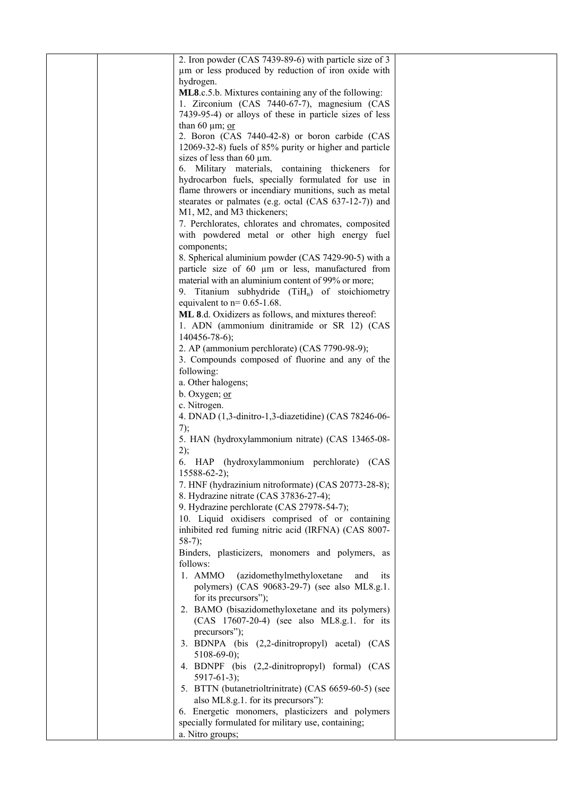| 2. Iron powder (CAS 7439-89-6) with particle size of 3      |  |
|-------------------------------------------------------------|--|
| um or less produced by reduction of iron oxide with         |  |
| hydrogen.                                                   |  |
| <b>ML8.c.5.b.</b> Mixtures containing any of the following: |  |
| 1. Zirconium (CAS 7440-67-7), magnesium (CAS                |  |
| 7439-95-4) or alloys of these in particle sizes of less     |  |
|                                                             |  |
| than 60 $\mu$ m; or                                         |  |
| 2. Boron (CAS 7440-42-8) or boron carbide (CAS              |  |
| 12069-32-8) fuels of 85% purity or higher and particle      |  |
| sizes of less than 60 µm.                                   |  |
| 6. Military materials, containing thickeners for            |  |
| hydrocarbon fuels, specially formulated for use in          |  |
| flame throwers or incendiary munitions, such as metal       |  |
| stearates or palmates (e.g. octal (CAS 637-12-7)) and       |  |
| M1, M2, and M3 thickeners;                                  |  |
| 7. Perchlorates, chlorates and chromates, composited        |  |
| with powdered metal or other high energy fuel               |  |
| components;                                                 |  |
| 8. Spherical aluminium powder (CAS 7429-90-5) with a        |  |
| particle size of 60 µm or less, manufactured from           |  |
| material with an aluminium content of 99% or more;          |  |
| 9. Titanium subhydride $(TiH_n)$ of stoichiometry           |  |
|                                                             |  |
| equivalent to $n=0.65-1.68$ .                               |  |
| ML 8.d. Oxidizers as follows, and mixtures thereof:         |  |
| 1. ADN (ammonium dinitramide or SR 12) (CAS                 |  |
| $140456 - 78 - 6$ ;                                         |  |
| 2. AP (ammonium perchlorate) (CAS 7790-98-9);               |  |
| 3. Compounds composed of fluorine and any of the            |  |
| following:                                                  |  |
| a. Other halogens;                                          |  |
| b. Oxygen; or                                               |  |
| c. Nitrogen.                                                |  |
| 4. DNAD (1,3-dinitro-1,3-diazetidine) (CAS 78246-06-        |  |
| 7);                                                         |  |
| 5. HAN (hydroxylammonium nitrate) (CAS 13465-08-            |  |
|                                                             |  |
| 2);                                                         |  |
| 6. HAP (hydroxylammonium perchlorate) (CAS                  |  |
| $15588-62-2$ ;                                              |  |
| 7. HNF (hydrazinium nitroformate) (CAS 20773-28-8);         |  |
| 8. Hydrazine nitrate (CAS 37836-27-4);                      |  |
| 9. Hydrazine perchlorate (CAS 27978-54-7);                  |  |
| 10. Liquid oxidisers comprised of or containing             |  |
| inhibited red fuming nitric acid (IRFNA) (CAS 8007-         |  |
| $58-7$ ;                                                    |  |
| Binders, plasticizers, monomers and polymers, as            |  |
| follows:                                                    |  |
| 1. AMMO<br>(azidomethylmethyloxetane<br>and<br><i>its</i>   |  |
| polymers) (CAS 90683-29-7) (see also ML8.g.1.               |  |
| for its precursors");                                       |  |
| 2. BAMO (bisazidomethyloxetane and its polymers)            |  |
|                                                             |  |
| (CAS 17607-20-4) (see also ML8.g.1. for its                 |  |
| precursors");                                               |  |
| 3. BDNPA (bis (2,2-dinitropropyl) acetal) (CAS              |  |
| $5108-69-0$ ;                                               |  |
| 4. BDNPF (bis (2,2-dinitropropyl) formal) (CAS              |  |
| $5917-61-3$ ;                                               |  |
| 5. BTTN (butanetrioltrinitrate) (CAS 6659-60-5) (see        |  |
| also ML8.g.1. for its precursors"):                         |  |
| 6. Energetic monomers, plasticizers and polymers            |  |
| specially formulated for military use, containing;          |  |
| a. Nitro groups;                                            |  |
|                                                             |  |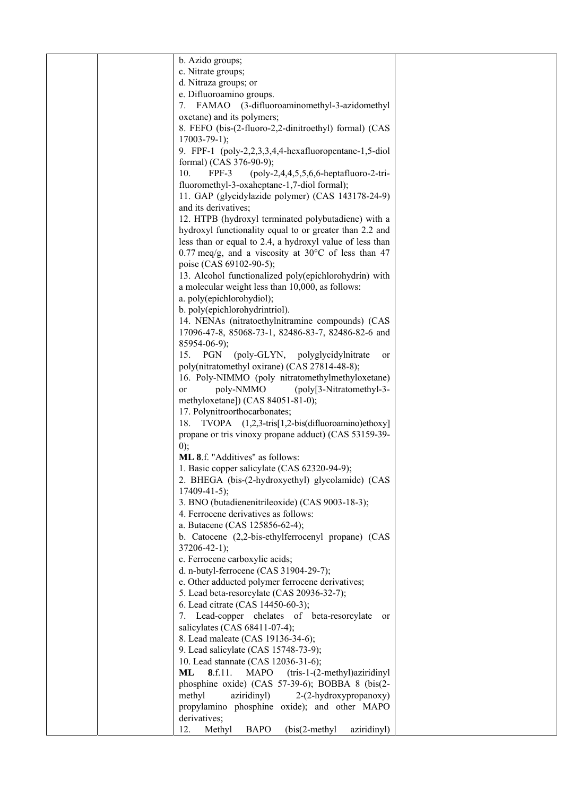| b. Azido groups;                                                |  |
|-----------------------------------------------------------------|--|
| c. Nitrate groups;                                              |  |
| d. Nitraza groups; or                                           |  |
| e. Difluoroamino groups.                                        |  |
| 7. FAMAO (3-difluoroaminomethyl-3-azidomethyl                   |  |
| oxetane) and its polymers;                                      |  |
| 8. FEFO (bis-(2-fluoro-2,2-dinitroethyl) formal) (CAS           |  |
| $17003 - 79 - 1$ ;                                              |  |
| 9. FPF-1 (poly-2,2,3,3,4,4-hexafluoropentane-1,5-diol           |  |
| formal) (CAS 376-90-9);                                         |  |
| 10.<br>$FPF-3$<br>(poly-2,4,4,5,5,6,6-heptafluoro-2-tri-        |  |
| fluoromethyl-3-oxaheptane-1,7-diol formal);                     |  |
| 11. GAP (glycidylazide polymer) (CAS 143178-24-9)               |  |
| and its derivatives;                                            |  |
| 12. HTPB (hydroxyl terminated polybutadiene) with a             |  |
| hydroxyl functionality equal to or greater than 2.2 and         |  |
| less than or equal to 2.4, a hydroxyl value of less than        |  |
| $0.77$ meq/g, and a viscosity at $30^{\circ}$ C of less than 47 |  |
| poise (CAS 69102-90-5);                                         |  |
| 13. Alcohol functionalized poly(epichlorohydrin) with           |  |
| a molecular weight less than 10,000, as follows:                |  |
| a. poly(epichlorohydiol);                                       |  |
| b. poly(epichlorohydrintriol).                                  |  |
| 14. NENAs (nitratoethylnitramine compounds) (CAS                |  |
| 17096-47-8, 85068-73-1, 82486-83-7, 82486-82-6 and              |  |
| $85954-06-9$ ;                                                  |  |
| 15.<br>PGN<br>(poly-GLYN, polyglycidylnitrate<br>or             |  |
| poly(nitratomethyl oxirane) (CAS 27814-48-8);                   |  |
| 16. Poly-NIMMO (poly nitratomethylmethyloxetane)                |  |
| poly-NMMO<br>(poly[3-Nitratomethyl-3-<br><b>or</b>              |  |
| methyloxetane]) (CAS 84051-81-0);                               |  |
| 17. Polynitroorthocarbonates;                                   |  |
| 18. TVOPA (1,2,3-tris[1,2-bis(difluoroamino)ethoxy]             |  |
| propane or tris vinoxy propane adduct) (CAS 53159-39-           |  |
| (0);                                                            |  |
| ML 8.f. "Additives" as follows:                                 |  |
| 1. Basic copper salicylate (CAS 62320-94-9);                    |  |
| 2. BHEGA (bis-(2-hydroxyethyl) glycolamide) (CAS                |  |
| $17409 - 41 - 5$ ;                                              |  |
| 3. BNO (butadienenitrileoxide) (CAS 9003-18-3);                 |  |
| 4. Ferrocene derivatives as follows:                            |  |
| a. Butacene (CAS 125856-62-4);                                  |  |
| b. Catocene (2,2-bis-ethylferrocenyl propane) (CAS              |  |
| $37206 - 42 - 1$ ;                                              |  |
| c. Ferrocene carboxylic acids;                                  |  |
| d. n-butyl-ferrocene (CAS 31904-29-7);                          |  |
| e. Other adducted polymer ferrocene derivatives;                |  |
| 5. Lead beta-resorcylate (CAS 20936-32-7);                      |  |
| 6. Lead citrate (CAS 14450-60-3);                               |  |
| 7. Lead-copper chelates of beta-resorcylate<br><sub>or</sub>    |  |
| salicylates (CAS 68411-07-4);                                   |  |
| 8. Lead maleate (CAS 19136-34-6);                               |  |
| 9. Lead salicylate (CAS 15748-73-9);                            |  |
| 10. Lead stannate (CAS 12036-31-6);                             |  |
| ML<br><b>8.f.11.</b> MAPO<br>(tris-1-(2-methyl) aziridinyl      |  |
| phosphine oxide) (CAS 57-39-6); BOBBA 8 (bis(2-                 |  |
| methyl<br>aziridinyl)<br>2-(2-hydroxypropanoxy)                 |  |
| propylamino phosphine oxide); and other MAPO                    |  |
| derivatives;                                                    |  |
| $(bis(2-methyl)$<br>Methyl<br><b>BAPO</b><br>aziridinyl)<br>12. |  |
|                                                                 |  |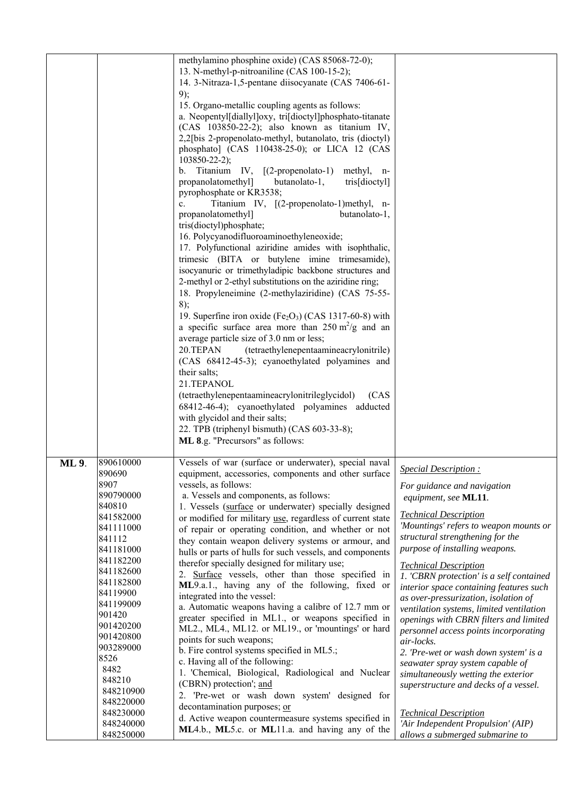| methylamino phosphine oxide) (CAS 85068-72-0);<br>13. N-methyl-p-nitroaniline (CAS 100-15-2);<br>14. 3-Nitraza-1,5-pentane diisocyanate (CAS 7406-61-<br>9);<br>15. Organo-metallic coupling agents as follows:<br>a. Neopentyl[diallyl]oxy, tri[dioctyl]phosphato-titanate<br>(CAS 103850-22-2); also known as titanium IV,<br>2,2[bis 2-propenolato-methyl, butanolato, tris (dioctyl)<br>phosphato] (CAS 110438-25-0); or LICA 12 (CAS<br>$103850 - 22 - 2$ ;<br>b. Titanium IV, $[(2-propenolato-1)]$<br>methyl, n-<br>propanolatomethyl]<br>butanolato-1,<br>tris[dioctyl]<br>pyrophosphate or KR3538;<br>Titanium IV, [(2-propenolato-1)methyl, n-<br>$c_{\cdot}$<br>propanolatomethyl]<br>butanolato-1,<br>tris(dioctyl)phosphate;<br>16. Polycyanodifluoroaminoethyleneoxide;<br>17. Polyfunctional aziridine amides with isophthalic,<br>trimesic (BITA or butylene imine trimesamide),<br>isocyanuric or trimethyladipic backbone structures and<br>2-methyl or 2-ethyl substitutions on the aziridine ring;<br>18. Propyleneimine (2-methylaziridine) (CAS 75-55-<br>8);<br>19. Superfine iron oxide $(Fe2O3)$ (CAS 1317-60-8) with<br>a specific surface area more than $250 \text{ m}^2/\text{g}$ and an<br>average particle size of 3.0 nm or less;<br>20.TEPAN<br>(tetraethylenepentaamineacrylonitrile)<br>(CAS 68412-45-3); cyanoethylated polyamines and<br>their salts;<br>21.TEPANOL<br>(tetraethylenepentaamineacrylonitrileglycidol)<br>(CAS)<br>68412-46-4); cyanoethylated polyamines adducted<br>with glycidol and their salts;<br>22. TPB (triphenyl bismuth) (CAS 603-33-8);<br>ML 8.g. "Precursors" as follows: |                                                                                                                                                                                                                                                                                                                                                                                                                                                                                                                                                                                                                                                                                                                                                                                                                      |
|---------------------------------------------------------------------------------------------------------------------------------------------------------------------------------------------------------------------------------------------------------------------------------------------------------------------------------------------------------------------------------------------------------------------------------------------------------------------------------------------------------------------------------------------------------------------------------------------------------------------------------------------------------------------------------------------------------------------------------------------------------------------------------------------------------------------------------------------------------------------------------------------------------------------------------------------------------------------------------------------------------------------------------------------------------------------------------------------------------------------------------------------------------------------------------------------------------------------------------------------------------------------------------------------------------------------------------------------------------------------------------------------------------------------------------------------------------------------------------------------------------------------------------------------------------------------------------------------------------------------------------------------|----------------------------------------------------------------------------------------------------------------------------------------------------------------------------------------------------------------------------------------------------------------------------------------------------------------------------------------------------------------------------------------------------------------------------------------------------------------------------------------------------------------------------------------------------------------------------------------------------------------------------------------------------------------------------------------------------------------------------------------------------------------------------------------------------------------------|
| Vessels of war (surface or underwater), special naval<br>equipment, accessories, components and other surface<br>vessels, as follows:<br>a. Vessels and components, as follows:<br>1. Vessels (surface or underwater) specially designed<br>or modified for military use, regardless of current state<br>of repair or operating condition, and whether or not<br>they contain weapon delivery systems or armour, and<br>hulls or parts of hulls for such vessels, and components<br>therefor specially designed for military use;<br>2. Surface vessels, other than those specified in<br>ML9.a.1., having any of the following, fixed or<br>integrated into the vessel:<br>a. Automatic weapons having a calibre of 12.7 mm or<br>greater specified in ML1., or weapons specified in<br>ML2., ML4., ML12. or ML19., or 'mountings' or hard<br>points for such weapons;<br>b. Fire control systems specified in ML5.;<br>c. Having all of the following:<br>1. 'Chemical, Biological, Radiological and Nuclear<br>(CBRN) protection'; and<br>2. 'Pre-wet or wash down system' designed for<br>decontamination purposes; or<br>d. Active weapon countermeasure systems specified in                                                                                                                                                                                                                                                                                                                                                                                                                                                          | <b>Special Description:</b><br>For guidance and navigation<br>equipment, see ML11.<br><b>Technical Description</b><br>'Mountings' refers to weapon mounts or<br>structural strengthening for the<br>purpose of installing weapons.<br><b>Technical Description</b><br>1. 'CBRN protection' is a self contained<br>interior space containing features such<br>as over-pressurization, isolation of<br>ventilation systems, limited ventilation<br>openings with CBRN filters and limited<br>personnel access points incorporating<br>air-locks.<br>2. 'Pre-wet or wash down system' is a<br>seawater spray system capable of<br>simultaneously wetting the exterior<br>superstructure and decks of a vessel.<br><b>Technical Description</b><br>'Air Independent Propulsion' (AIP)<br>allows a submerged submarine to |
|                                                                                                                                                                                                                                                                                                                                                                                                                                                                                                                                                                                                                                                                                                                                                                                                                                                                                                                                                                                                                                                                                                                                                                                                                                                                                                                                                                                                                                                                                                                                                                                                                                             | ML4.b., ML5.c. or ML11.a. and having any of the                                                                                                                                                                                                                                                                                                                                                                                                                                                                                                                                                                                                                                                                                                                                                                      |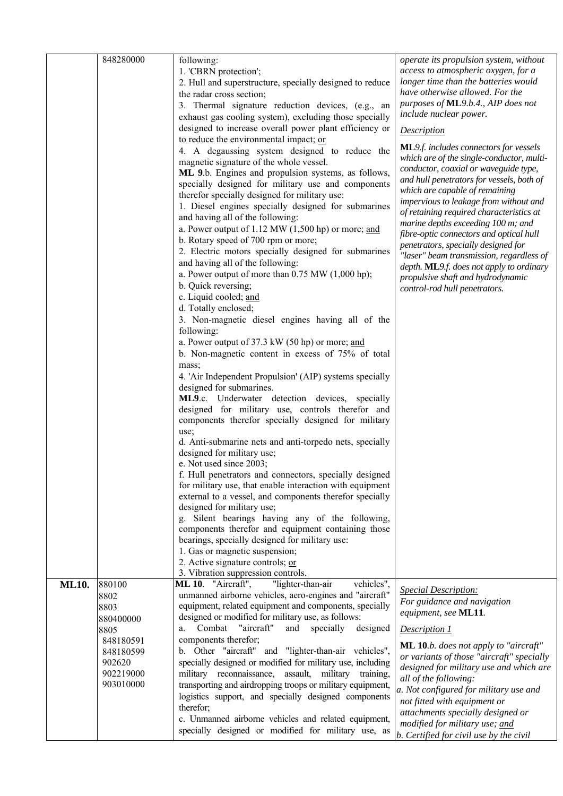|              | 848280000                                                  | following:<br>1. 'CBRN protection';<br>2. Hull and superstructure, specially designed to reduce<br>the radar cross section;<br>3. Thermal signature reduction devices, (e.g., an<br>exhaust gas cooling system), excluding those specially<br>designed to increase overall power plant efficiency or<br>to reduce the environmental impact; or<br>4. A degaussing system designed to reduce the<br>magnetic signature of the whole vessel.<br>ML 9.b. Engines and propulsion systems, as follows,<br>specially designed for military use and components<br>therefor specially designed for military use:<br>1. Diesel engines specially designed for submarines<br>and having all of the following:<br>a. Power output of $1.12$ MW (1,500 hp) or more; and<br>b. Rotary speed of 700 rpm or more;<br>2. Electric motors specially designed for submarines<br>and having all of the following:<br>a. Power output of more than $0.75$ MW $(1,000$ hp);<br>b. Quick reversing;<br>c. Liquid cooled; and<br>d. Totally enclosed;<br>3. Non-magnetic diesel engines having all of the<br>following:<br>a. Power output of 37.3 kW (50 hp) or more; and<br>b. Non-magnetic content in excess of 75% of total<br>mass;<br>4. 'Air Independent Propulsion' (AIP) systems specially<br>designed for submarines.<br>ML9.c. Underwater detection devices, specially<br>designed for military use, controls therefor and<br>components therefor specially designed for military<br>use;<br>d. Anti-submarine nets and anti-torpedo nets, specially<br>designed for military use;<br>e. Not used since 2003;<br>f. Hull penetrators and connectors, specially designed<br>for military use, that enable interaction with equipment<br>external to a vessel, and components therefor specially<br>designed for military use;<br>g. Silent bearings having any of the following,<br>components therefor and equipment containing those<br>bearings, specially designed for military use:<br>1. Gas or magnetic suspension;<br>2. Active signature controls; or | operate its propulsion system, without<br>access to atmospheric oxygen, for a<br>longer time than the batteries would<br>have otherwise allowed. For the<br>purposes of ML9.b.4., AIP does not<br>include nuclear power.<br><b>Description</b><br><b>ML</b> 9.f. includes connectors for vessels<br>which are of the single-conductor, multi-<br>conductor, coaxial or waveguide type,<br>and hull penetrators for vessels, both of<br>which are capable of remaining<br>impervious to leakage from without and<br>of retaining required characteristics at<br>marine depths exceeding 100 m; and<br>fibre-optic connectors and optical hull<br>penetrators, specially designed for<br>"laser" beam transmission, regardless of<br>depth. ML9.f. does not apply to ordinary<br>propulsive shaft and hydrodynamic<br>control-rod hull penetrators. |
|--------------|------------------------------------------------------------|---------------------------------------------------------------------------------------------------------------------------------------------------------------------------------------------------------------------------------------------------------------------------------------------------------------------------------------------------------------------------------------------------------------------------------------------------------------------------------------------------------------------------------------------------------------------------------------------------------------------------------------------------------------------------------------------------------------------------------------------------------------------------------------------------------------------------------------------------------------------------------------------------------------------------------------------------------------------------------------------------------------------------------------------------------------------------------------------------------------------------------------------------------------------------------------------------------------------------------------------------------------------------------------------------------------------------------------------------------------------------------------------------------------------------------------------------------------------------------------------------------------------------------------------------------------------------------------------------------------------------------------------------------------------------------------------------------------------------------------------------------------------------------------------------------------------------------------------------------------------------------------------------------------------------------------------------------------------------------------------------------------------------------------------------|---------------------------------------------------------------------------------------------------------------------------------------------------------------------------------------------------------------------------------------------------------------------------------------------------------------------------------------------------------------------------------------------------------------------------------------------------------------------------------------------------------------------------------------------------------------------------------------------------------------------------------------------------------------------------------------------------------------------------------------------------------------------------------------------------------------------------------------------------|
| <b>ML10.</b> | 880100                                                     | 3. Vibration suppression controls.<br>ML 10. "Aircraft",<br>vehicles",<br>"lighter-than-air                                                                                                                                                                                                                                                                                                                                                                                                                                                                                                                                                                                                                                                                                                                                                                                                                                                                                                                                                                                                                                                                                                                                                                                                                                                                                                                                                                                                                                                                                                                                                                                                                                                                                                                                                                                                                                                                                                                                                       |                                                                                                                                                                                                                                                                                                                                                                                                                                                                                                                                                                                                                                                                                                                                                                                                                                                   |
|              | 8802<br>8803<br>880400000<br>8805                          | unmanned airborne vehicles, aero-engines and "aircraft"<br>equipment, related equipment and components, specially<br>designed or modified for military use, as follows:<br>Combat<br>"aircraft"<br>specially<br>and<br>designed<br>a.                                                                                                                                                                                                                                                                                                                                                                                                                                                                                                                                                                                                                                                                                                                                                                                                                                                                                                                                                                                                                                                                                                                                                                                                                                                                                                                                                                                                                                                                                                                                                                                                                                                                                                                                                                                                             | <b>Special Description:</b><br>For guidance and navigation<br>equipment, see ML11.<br>Description 1                                                                                                                                                                                                                                                                                                                                                                                                                                                                                                                                                                                                                                                                                                                                               |
|              | 848180591<br>848180599<br>902620<br>902219000<br>903010000 | components therefor;<br>b. Other "aircraft" and "lighter-than-air vehicles",<br>specially designed or modified for military use, including<br>assault, military<br>military reconnaissance,<br>training,<br>transporting and airdropping troops or military equipment,<br>logistics support, and specially designed components<br>therefor;<br>c. Unmanned airborne vehicles and related equipment,<br>specially designed or modified for military use, as                                                                                                                                                                                                                                                                                                                                                                                                                                                                                                                                                                                                                                                                                                                                                                                                                                                                                                                                                                                                                                                                                                                                                                                                                                                                                                                                                                                                                                                                                                                                                                                        | ML 10.b. does not apply to "aircraft"<br>or variants of those "aircraft" specially<br>designed for military use and which are<br>all of the following:<br>a. Not configured for military use and<br>not fitted with equipment or<br>attachments specially designed or<br>modified for military use; and<br>b. Certified for civil use by the civil                                                                                                                                                                                                                                                                                                                                                                                                                                                                                                |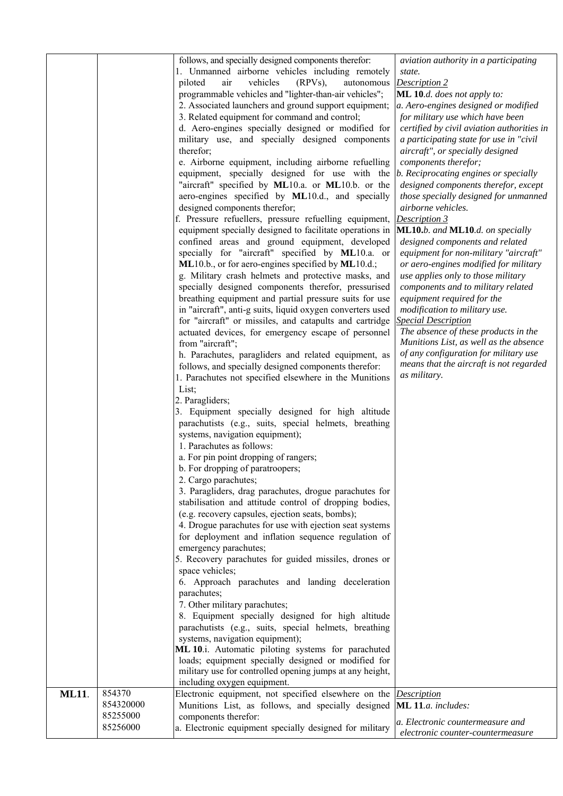|              |           | follows, and specially designed components therefor:                    | aviation authority in a participating      |
|--------------|-----------|-------------------------------------------------------------------------|--------------------------------------------|
|              |           | 1. Unmanned airborne vehicles including remotely                        | state.                                     |
|              |           | vehicles<br>piloted<br>air<br>$(RPVs)$ ,<br>autonomous                  | Description 2                              |
|              |           | programmable vehicles and "lighter-than-air vehicles";                  | ML 10.d. does not apply to:                |
|              |           | 2. Associated launchers and ground support equipment;                   | a. Aero-engines designed or modified       |
|              |           |                                                                         |                                            |
|              |           | 3. Related equipment for command and control;                           | for military use which have been           |
|              |           | d. Aero-engines specially designed or modified for                      | certified by civil aviation authorities in |
|              |           | military use, and specially designed components                         | a participating state for use in "civil    |
|              |           | therefor;                                                               | aircraft", or specially designed           |
|              |           | e. Airborne equipment, including airborne refuelling                    | components therefor;                       |
|              |           | equipment, specially designed for use with the                          | b. Reciprocating engines or specially      |
|              |           |                                                                         |                                            |
|              |           | "aircraft" specified by ML10.a. or ML10.b. or the                       | designed components therefor, except       |
|              |           | aero-engines specified by ML10.d., and specially                        | those specially designed for unmanned      |
|              |           | designed components therefor;                                           | airborne vehicles.                         |
|              |           | f. Pressure refuellers, pressure refuelling equipment,                  | Description 3                              |
|              |           | equipment specially designed to facilitate operations in                | ML10.b. and ML10.d. on specially           |
|              |           | confined areas and ground equipment, developed                          | designed components and related            |
|              |           |                                                                         |                                            |
|              |           | specially for "aircraft" specified by ML10.a. or                        | equipment for non-military "aircraft"      |
|              |           | ML10.b., or for aero-engines specified by ML10.d.;                      | or aero-engines modified for military      |
|              |           | g. Military crash helmets and protective masks, and                     | use applies only to those military         |
|              |           | specially designed components therefor, pressurised                     | components and to military related         |
|              |           | breathing equipment and partial pressure suits for use                  | equipment required for the                 |
|              |           | in "aircraft", anti-g suits, liquid oxygen converters used              | modification to military use.              |
|              |           |                                                                         |                                            |
|              |           | for "aircraft" or missiles, and catapults and cartridge                 | <b>Special Description</b>                 |
|              |           | actuated devices, for emergency escape of personnel                     | The absence of these products in the       |
|              |           | from "aircraft";                                                        | Munitions List, as well as the absence     |
|              |           | h. Parachutes, paragliders and related equipment, as                    | of any configuration for military use      |
|              |           | follows, and specially designed components therefor:                    | means that the aircraft is not regarded    |
|              |           | 1. Parachutes not specified elsewhere in the Munitions                  | as military.                               |
|              |           |                                                                         |                                            |
|              |           | List;                                                                   |                                            |
|              |           | 2. Paragliders;                                                         |                                            |
|              |           | 3. Equipment specially designed for high altitude                       |                                            |
|              |           | parachutists (e.g., suits, special helmets, breathing                   |                                            |
|              |           | systems, navigation equipment);                                         |                                            |
|              |           | 1. Parachutes as follows:                                               |                                            |
|              |           | a. For pin point dropping of rangers;                                   |                                            |
|              |           |                                                                         |                                            |
|              |           | b. For dropping of paratroopers;                                        |                                            |
|              |           | 2. Cargo parachutes;                                                    |                                            |
|              |           | 3. Paragliders, drag parachutes, drogue parachutes for                  |                                            |
|              |           | stabilisation and attitude control of dropping bodies,                  |                                            |
|              |           | (e.g. recovery capsules, ejection seats, bombs);                        |                                            |
|              |           | 4. Drogue parachutes for use with ejection seat systems                 |                                            |
|              |           | for deployment and inflation sequence regulation of                     |                                            |
|              |           | emergency parachutes;                                                   |                                            |
|              |           |                                                                         |                                            |
|              |           | 5. Recovery parachutes for guided missiles, drones or                   |                                            |
|              |           | space vehicles;                                                         |                                            |
|              |           | 6. Approach parachutes and landing deceleration                         |                                            |
|              |           | parachutes;                                                             |                                            |
|              |           | 7. Other military parachutes;                                           |                                            |
|              |           | 8. Equipment specially designed for high altitude                       |                                            |
|              |           | parachutists (e.g., suits, special helmets, breathing                   |                                            |
|              |           |                                                                         |                                            |
|              |           | systems, navigation equipment);                                         |                                            |
|              |           | ML 10.i. Automatic piloting systems for parachuted                      |                                            |
|              |           | loads; equipment specially designed or modified for                     |                                            |
|              |           | military use for controlled opening jumps at any height,                |                                            |
|              |           | including oxygen equipment.                                             |                                            |
| <b>ML11.</b> | 854370    | Electronic equipment, not specified elsewhere on the <i>Description</i> |                                            |
|              | 854320000 | Munitions List, as follows, and specially designed                      | ML 11.a. includes:                         |
|              | 85255000  | components therefor:                                                    |                                            |
|              | 85256000  | a. Electronic equipment specially designed for military                 | a. Electronic countermeasure and           |
|              |           |                                                                         | electronic counter-countermeasure          |
|              |           |                                                                         |                                            |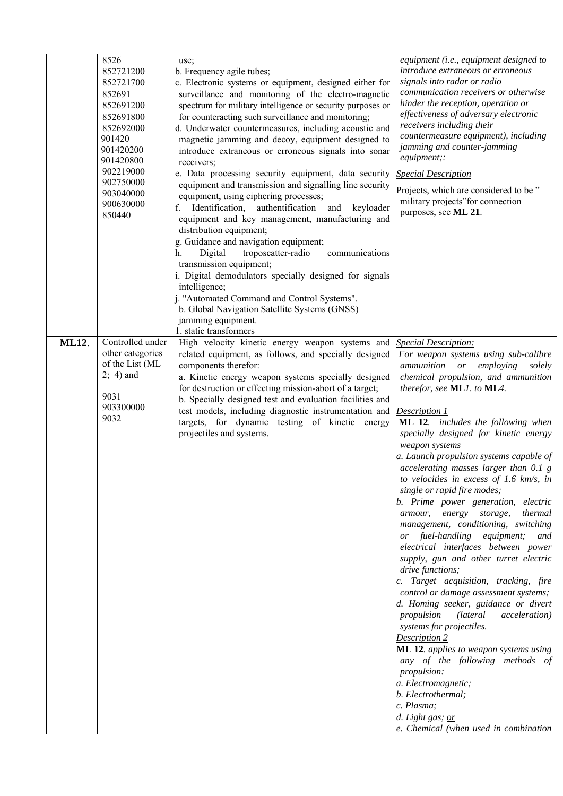|              | 8526<br>852721200<br>852721700<br>852691<br>852691200<br>852691800<br>852692000<br>901420<br>901420200<br>901420800<br>902219000<br>902750000<br>903040000<br>900630000<br>850440 | use;<br>b. Frequency agile tubes;<br>c. Electronic systems or equipment, designed either for<br>surveillance and monitoring of the electro-magnetic<br>spectrum for military intelligence or security purposes or<br>for counteracting such surveillance and monitoring;<br>d. Underwater countermeasures, including acoustic and<br>magnetic jamming and decoy, equipment designed to<br>introduce extraneous or erroneous signals into sonar<br>receivers;<br>e. Data processing security equipment, data security<br>equipment and transmission and signalling line security<br>equipment, using ciphering processes;<br>authentification<br>f.<br>Identification,<br>keyloader<br>and<br>equipment and key management, manufacturing and<br>distribution equipment;<br>g. Guidance and navigation equipment;<br>troposcatter-radio<br>Digital<br>communications<br>h.<br>transmission equipment;<br>i. Digital demodulators specially designed for signals<br>intelligence;<br>j. "Automated Command and Control Systems".<br>b. Global Navigation Satellite Systems (GNSS)<br>jamming equipment.<br>1. static transformers | equipment (i.e., equipment designed to<br>introduce extraneous or erroneous<br>signals into radar or radio<br>communication receivers or otherwise<br>hinder the reception, operation or<br>effectiveness of adversary electronic<br>receivers including their<br>countermeasure equipment), including<br>jamming and counter-jamming<br>equipment;:<br><b>Special Description</b><br>Projects, which are considered to be"<br>military projects" for connection<br>purposes, see ML 21.                                                                                                                                                                                                                                                                                                                                                                                                                                                                                                                                                                                                                                                                                    |
|--------------|-----------------------------------------------------------------------------------------------------------------------------------------------------------------------------------|---------------------------------------------------------------------------------------------------------------------------------------------------------------------------------------------------------------------------------------------------------------------------------------------------------------------------------------------------------------------------------------------------------------------------------------------------------------------------------------------------------------------------------------------------------------------------------------------------------------------------------------------------------------------------------------------------------------------------------------------------------------------------------------------------------------------------------------------------------------------------------------------------------------------------------------------------------------------------------------------------------------------------------------------------------------------------------------------------------------------------------|-----------------------------------------------------------------------------------------------------------------------------------------------------------------------------------------------------------------------------------------------------------------------------------------------------------------------------------------------------------------------------------------------------------------------------------------------------------------------------------------------------------------------------------------------------------------------------------------------------------------------------------------------------------------------------------------------------------------------------------------------------------------------------------------------------------------------------------------------------------------------------------------------------------------------------------------------------------------------------------------------------------------------------------------------------------------------------------------------------------------------------------------------------------------------------|
| <b>ML12.</b> | Controlled under<br>other categories<br>of the List (ML<br>$2; 4)$ and<br>9031<br>903300000<br>9032                                                                               | High velocity kinetic energy weapon systems and<br>related equipment, as follows, and specially designed<br>components therefor:<br>a. Kinetic energy weapon systems specially designed<br>for destruction or effecting mission-abort of a target;<br>b. Specially designed test and evaluation facilities and<br>test models, including diagnostic instrumentation and<br>targets, for dynamic testing of kinetic energy<br>projectiles and systems.                                                                                                                                                                                                                                                                                                                                                                                                                                                                                                                                                                                                                                                                           | <b>Special Description:</b><br>For weapon systems using sub-calibre<br>ammunition or employing<br>solely<br>chemical propulsion, and ammunition<br>therefor, see ML1. to ML4.<br>Description 1<br>ML 12. includes the following when<br>specially designed for kinetic energy<br>weapon systems<br>a. Launch propulsion systems capable of<br>accelerating masses larger than $0.1\,$ g<br>to velocities in excess of 1.6 km/s, in<br>single or rapid fire modes;<br>b. Prime power generation, electric<br>armour, energy storage,<br>thermal<br>management, conditioning, switching<br>or fuel-handling equipment; and<br>electrical interfaces between power<br>supply, gun and other turret electric<br>drive functions;<br>c. Target acquisition, tracking, fire<br>control or damage assessment systems;<br>d. Homing seeker, guidance or divert<br>propulsion<br>(lateral)<br><i>acceleration</i> )<br>systems for projectiles.<br>Description 2<br>ML 12. applies to weapon systems using<br>any of the following methods of<br>propulsion:<br>a. Electromagnetic;<br>b. Electrothermal;<br>c. Plasma;<br>d. Light gas; or<br>e. Chemical (when used in combination |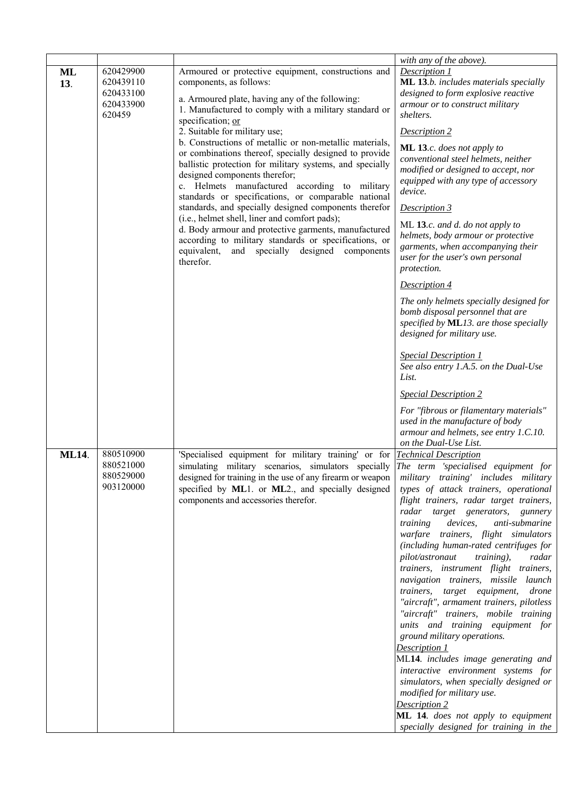| ML<br>13.    | 620429900<br>620439110<br>620433100<br>620433900<br>620459 | Armoured or protective equipment, constructions and<br>components, as follows:<br>a. Armoured plate, having any of the following:<br>1. Manufactured to comply with a military standard or<br>specification; or<br>2. Suitable for military use;<br>b. Constructions of metallic or non-metallic materials,<br>or combinations thereof, specially designed to provide<br>ballistic protection for military systems, and specially<br>designed components therefor;<br>c. Helmets manufactured according to military<br>standards or specifications, or comparable national<br>standards, and specially designed components therefor<br>(i.e., helmet shell, liner and comfort pads);<br>d. Body armour and protective garments, manufactured<br>according to military standards or specifications, or<br>equivalent,<br>and specially designed<br>components<br>therefor. | with any of the above).<br>Description 1<br>ML 13.b. includes materials specially<br>designed to form explosive reactive<br>armour or to construct military<br>shelters.<br><b>Description 2</b><br>ML 13.c. does not apply to<br>conventional steel helmets, neither<br>modified or designed to accept, nor<br>equipped with any type of accessory<br>device.<br><b>Description 3</b><br>ML 13.c. and d. do not apply to<br>helmets, body armour or protective<br>garments, when accompanying their<br>user for the user's own personal<br>protection.<br>Description 4<br>The only helmets specially designed for<br>bomb disposal personnel that are<br>specified by ML13. are those specially<br>designed for military use.<br><b>Special Description 1</b><br>See also entry 1.A.5. on the Dual-Use<br>List.<br><b>Special Description 2</b><br>For "fibrous or filamentary materials"<br>used in the manufacture of body<br>armour and helmets, see entry 1.C.10.<br>on the Dual-Use List. |
|--------------|------------------------------------------------------------|---------------------------------------------------------------------------------------------------------------------------------------------------------------------------------------------------------------------------------------------------------------------------------------------------------------------------------------------------------------------------------------------------------------------------------------------------------------------------------------------------------------------------------------------------------------------------------------------------------------------------------------------------------------------------------------------------------------------------------------------------------------------------------------------------------------------------------------------------------------------------|--------------------------------------------------------------------------------------------------------------------------------------------------------------------------------------------------------------------------------------------------------------------------------------------------------------------------------------------------------------------------------------------------------------------------------------------------------------------------------------------------------------------------------------------------------------------------------------------------------------------------------------------------------------------------------------------------------------------------------------------------------------------------------------------------------------------------------------------------------------------------------------------------------------------------------------------------------------------------------------------------|
| <b>ML14.</b> | 880510900<br>880521000<br>880529000<br>903120000           | 'Specialised equipment for military training' or for <i>Technical Description</i><br>simulating military scenarios, simulators specially<br>designed for training in the use of any firearm or weapon<br>specified by ML1. or ML2., and specially designed<br>components and accessories therefor.                                                                                                                                                                                                                                                                                                                                                                                                                                                                                                                                                                        | The term 'specialised equipment for<br>military training' includes military<br>types of attack trainers, operational<br>flight trainers, radar target trainers,<br>radar target generators,<br>gunnery<br>training<br>devices,<br>anti-submarine<br>warfare trainers, flight simulators<br>(including human-rated centrifuges for<br>pilot/astronaut<br><i>training</i> ),<br>radar<br>trainers, instrument flight trainers,<br>navigation trainers, missile launch<br>trainers, target equipment,<br>drone<br>"aircraft", armament trainers, pilotless<br>"aircraft" trainers, mobile training<br>units and training equipment for<br>ground military operations.<br>Description 1<br>ML14. includes image generating and<br>interactive environment systems for<br>simulators, when specially designed or<br>modified for military use.<br>Description 2<br>ML 14. does not apply to equipment<br>specially designed for training in the                                                       |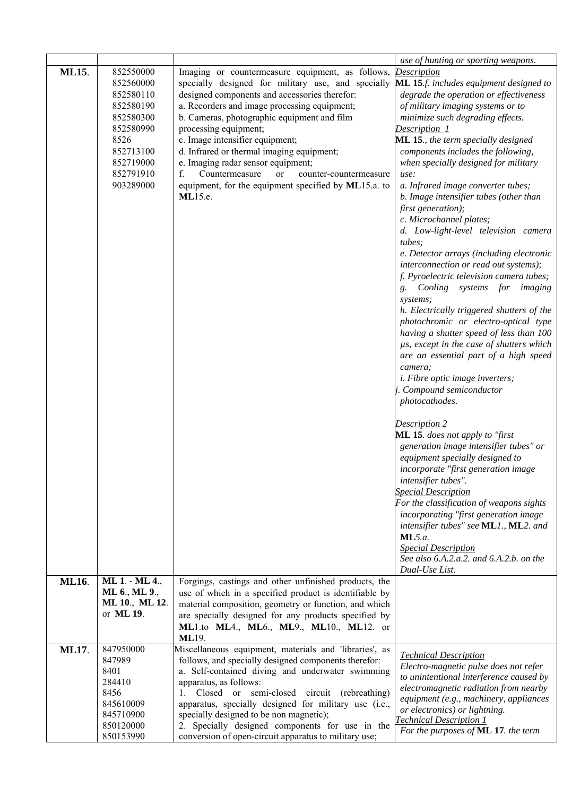|              |                   |                                                                                                    | use of hunting or sporting weapons.           |
|--------------|-------------------|----------------------------------------------------------------------------------------------------|-----------------------------------------------|
| <b>ML15.</b> | 852550000         | Imaging or countermeasure equipment, as follows,                                                   | <b>Description</b>                            |
|              | 852560000         | specially designed for military use, and specially <b>ML 15</b> .f. includes equipment designed to |                                               |
|              | 852580110         | designed components and accessories therefor:                                                      | degrade the operation or effectiveness        |
|              | 852580190         | a. Recorders and image processing equipment;                                                       | of military imaging systems or to             |
|              | 852580300         | b. Cameras, photographic equipment and film                                                        | minimize such degrading effects.              |
|              | 852580990         | processing equipment;                                                                              | Description 1                                 |
|              | 8526              | c. Image intensifier equipment;                                                                    | ML 15., the term specially designed           |
|              |                   |                                                                                                    |                                               |
|              | 852713100         | d. Infrared or thermal imaging equipment;                                                          | components includes the following,            |
|              | 852719000         | e. Imaging radar sensor equipment;                                                                 | when specially designed for military          |
|              | 852791910         | f.<br>Countermeasure<br>counter-countermeasure<br><sub>or</sub>                                    | use:                                          |
|              | 903289000         | equipment, for the equipment specified by ML15.a. to                                               | a. Infrared image converter tubes;            |
|              |                   | ML15.e.                                                                                            | b. Image intensifier tubes (other than        |
|              |                   |                                                                                                    | first generation);                            |
|              |                   |                                                                                                    | c. Microchannel plates;                       |
|              |                   |                                                                                                    | d. Low-light-level television camera          |
|              |                   |                                                                                                    | tubes;                                        |
|              |                   |                                                                                                    | e. Detector arrays (including electronic      |
|              |                   |                                                                                                    | interconnection or read out systems);         |
|              |                   |                                                                                                    | f. Pyroelectric television camera tubes;      |
|              |                   |                                                                                                    | Cooling systems for imaging                   |
|              |                   |                                                                                                    | g.                                            |
|              |                   |                                                                                                    | systems;                                      |
|              |                   |                                                                                                    | h. Electrically triggered shutters of the     |
|              |                   |                                                                                                    | photochromic or electro-optical type          |
|              |                   |                                                                                                    | having a shutter speed of less than 100       |
|              |                   |                                                                                                    | $\mu$ s, except in the case of shutters which |
|              |                   |                                                                                                    | are an essential part of a high speed         |
|              |                   |                                                                                                    | camera;                                       |
|              |                   |                                                                                                    | <i>i. Fibre optic image inverters;</i>        |
|              |                   |                                                                                                    | j. Compound semiconductor                     |
|              |                   |                                                                                                    | photocathodes.                                |
|              |                   |                                                                                                    |                                               |
|              |                   |                                                                                                    | Description 2                                 |
|              |                   |                                                                                                    | ML 15. does not apply to "first               |
|              |                   |                                                                                                    |                                               |
|              |                   |                                                                                                    | generation image intensifier tubes" or        |
|              |                   |                                                                                                    | equipment specially designed to               |
|              |                   |                                                                                                    | incorporate "first generation image           |
|              |                   |                                                                                                    | intensifier tubes".                           |
|              |                   |                                                                                                    | <b>Special Description</b>                    |
|              |                   |                                                                                                    | For the classification of weapons sights      |
|              |                   |                                                                                                    | incorporating "first generation image         |
|              |                   |                                                                                                    | intensifier tubes" see ML1., ML2. and         |
|              |                   |                                                                                                    | <b>ML</b> 5.a.                                |
|              |                   |                                                                                                    | <b>Special Description</b>                    |
|              |                   |                                                                                                    | See also 6.A.2.a.2. and 6.A.2.b. on the       |
|              |                   |                                                                                                    | Dual-Use List.                                |
| <b>ML16.</b> | ML 1. - ML 4.,    | Forgings, castings and other unfinished products, the                                              |                                               |
|              | ML 6., ML 9.,     | use of which in a specified product is identifiable by                                             |                                               |
|              | ML 10., ML 12.    | material composition, geometry or function, and which                                              |                                               |
|              | or <b>ML 19</b> . | are specially designed for any products specified by                                               |                                               |
|              |                   | ML1.to ML4., ML6., ML9., ML10., ML12. or                                                           |                                               |
|              |                   | <b>ML19.</b>                                                                                       |                                               |
| <b>ML17.</b> | 847950000         | Miscellaneous equipment, materials and 'libraries', as                                             |                                               |
|              | 847989            | follows, and specially designed components therefor:                                               | <b>Technical Description</b>                  |
|              | 8401              | a. Self-contained diving and underwater swimming                                                   | Electro-magnetic pulse does not refer         |
|              | 284410            | apparatus, as follows:                                                                             | to unintentional interference caused by       |
|              | 8456              | Closed or semi-closed circuit<br>(rebreathing)<br>1.                                               | electromagnetic radiation from nearby         |
|              | 845610009         | apparatus, specially designed for military use (i.e.,                                              | equipment (e.g., machinery, appliances        |
|              | 845710900         | specially designed to be non magnetic);                                                            | or electronics) or lightning.                 |
|              | 850120000         | 2. Specially designed components for use in the                                                    | <b>Technical Description 1</b>                |
|              | 850153990         | conversion of open-circuit apparatus to military use;                                              | For the purposes of ML 17. the term           |
|              |                   |                                                                                                    |                                               |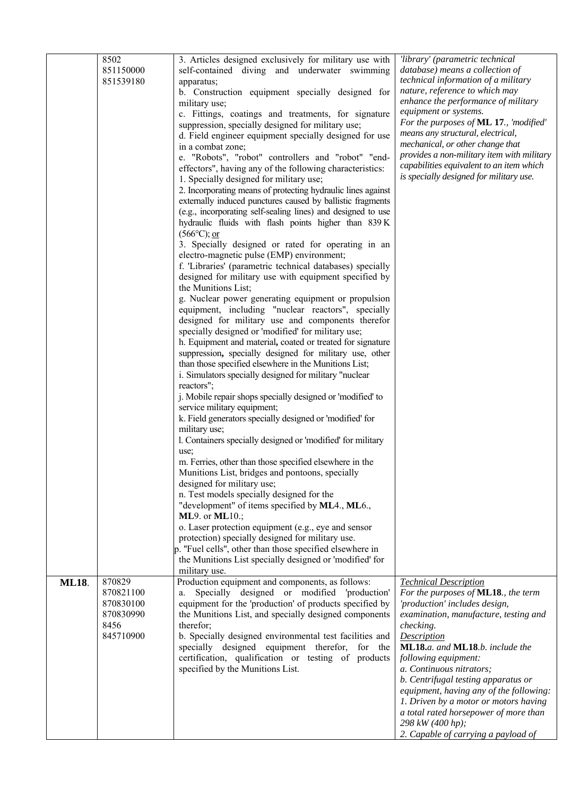|              | 8502<br>851150000<br>851539180 | 3. Articles designed exclusively for military use with<br>self-contained diving and underwater swimming<br>apparatus;<br>b. Construction equipment specially designed for<br>military use;<br>c. Fittings, coatings and treatments, for signature<br>suppression, specially designed for military use;<br>d. Field engineer equipment specially designed for use<br>in a combat zone;<br>e. "Robots", "robot" controllers and "robot" "end-<br>effectors", having any of the following characteristics:<br>1. Specially designed for military use;<br>2. Incorporating means of protecting hydraulic lines against<br>externally induced punctures caused by ballistic fragments<br>(e.g., incorporating self-sealing lines) and designed to use<br>hydraulic fluids with flash points higher than 839 K<br>$(566^{\circ}C)$ ; or<br>3. Specially designed or rated for operating in an<br>electro-magnetic pulse (EMP) environment;<br>f. 'Libraries' (parametric technical databases) specially<br>designed for military use with equipment specified by<br>the Munitions List;<br>g. Nuclear power generating equipment or propulsion<br>equipment, including "nuclear reactors", specially<br>designed for military use and components therefor<br>specially designed or 'modified' for military use;<br>h. Equipment and material, coated or treated for signature<br>suppression, specially designed for military use, other<br>than those specified elsewhere in the Munitions List;<br>i. Simulators specially designed for military "nuclear<br>reactors";<br>j. Mobile repair shops specially designed or 'modified' to<br>service military equipment;<br>k. Field generators specially designed or 'modified' for<br>military use;<br>1. Containers specially designed or 'modified' for military<br>use;<br>m. Ferries, other than those specified elsewhere in the<br>Munitions List, bridges and pontoons, specially<br>designed for military use;<br>n. Test models specially designed for the<br>"development" of items specified by ML4., ML6.,<br>$ML9.$ or $ML10$ .;<br>o. Laser protection equipment (e.g., eye and sensor<br>protection) specially designed for military use.<br>p. "Fuel cells", other than those specified elsewhere in<br>the Munitions List specially designed or 'modified' for<br>military use. | 'library' (parametric technical<br>database) means a collection of<br>technical information of a military<br>nature, reference to which may<br>enhance the performance of military<br>equipment or systems.<br>For the purposes of ML 17., 'modified'<br>means any structural, electrical,<br>mechanical, or other change that<br>provides a non-military item with military<br>capabilities equivalent to an item which<br>is specially designed for military use. |
|--------------|--------------------------------|--------------------------------------------------------------------------------------------------------------------------------------------------------------------------------------------------------------------------------------------------------------------------------------------------------------------------------------------------------------------------------------------------------------------------------------------------------------------------------------------------------------------------------------------------------------------------------------------------------------------------------------------------------------------------------------------------------------------------------------------------------------------------------------------------------------------------------------------------------------------------------------------------------------------------------------------------------------------------------------------------------------------------------------------------------------------------------------------------------------------------------------------------------------------------------------------------------------------------------------------------------------------------------------------------------------------------------------------------------------------------------------------------------------------------------------------------------------------------------------------------------------------------------------------------------------------------------------------------------------------------------------------------------------------------------------------------------------------------------------------------------------------------------------------------------------------------------------------------------------------------------------------------------------------------------------------------------------------------------------------------------------------------------------------------------------------------------------------------------------------------------------------------------------------------------------------------------------------------------------------------------------------------------------------------------------------------------------------|---------------------------------------------------------------------------------------------------------------------------------------------------------------------------------------------------------------------------------------------------------------------------------------------------------------------------------------------------------------------------------------------------------------------------------------------------------------------|
| <b>ML18.</b> | 870829                         | Production equipment and components, as follows:                                                                                                                                                                                                                                                                                                                                                                                                                                                                                                                                                                                                                                                                                                                                                                                                                                                                                                                                                                                                                                                                                                                                                                                                                                                                                                                                                                                                                                                                                                                                                                                                                                                                                                                                                                                                                                                                                                                                                                                                                                                                                                                                                                                                                                                                                           | <b>Technical Description</b>                                                                                                                                                                                                                                                                                                                                                                                                                                        |
|              | 870821100<br>870830100         | Specially designed or modified 'production'<br>a.<br>equipment for the 'production' of products specified by                                                                                                                                                                                                                                                                                                                                                                                                                                                                                                                                                                                                                                                                                                                                                                                                                                                                                                                                                                                                                                                                                                                                                                                                                                                                                                                                                                                                                                                                                                                                                                                                                                                                                                                                                                                                                                                                                                                                                                                                                                                                                                                                                                                                                               | For the purposes of <b>ML18</b> ., the term<br>'production' includes design,                                                                                                                                                                                                                                                                                                                                                                                        |
|              | 870830990                      | the Munitions List, and specially designed components                                                                                                                                                                                                                                                                                                                                                                                                                                                                                                                                                                                                                                                                                                                                                                                                                                                                                                                                                                                                                                                                                                                                                                                                                                                                                                                                                                                                                                                                                                                                                                                                                                                                                                                                                                                                                                                                                                                                                                                                                                                                                                                                                                                                                                                                                      | examination, manufacture, testing and                                                                                                                                                                                                                                                                                                                                                                                                                               |
|              | 8456                           | therefor;                                                                                                                                                                                                                                                                                                                                                                                                                                                                                                                                                                                                                                                                                                                                                                                                                                                                                                                                                                                                                                                                                                                                                                                                                                                                                                                                                                                                                                                                                                                                                                                                                                                                                                                                                                                                                                                                                                                                                                                                                                                                                                                                                                                                                                                                                                                                  | checking.                                                                                                                                                                                                                                                                                                                                                                                                                                                           |
|              | 845710900                      | b. Specially designed environmental test facilities and                                                                                                                                                                                                                                                                                                                                                                                                                                                                                                                                                                                                                                                                                                                                                                                                                                                                                                                                                                                                                                                                                                                                                                                                                                                                                                                                                                                                                                                                                                                                                                                                                                                                                                                                                                                                                                                                                                                                                                                                                                                                                                                                                                                                                                                                                    | <b>Description</b>                                                                                                                                                                                                                                                                                                                                                                                                                                                  |
|              |                                | specially designed equipment therefor, for the<br>certification, qualification or testing of products                                                                                                                                                                                                                                                                                                                                                                                                                                                                                                                                                                                                                                                                                                                                                                                                                                                                                                                                                                                                                                                                                                                                                                                                                                                                                                                                                                                                                                                                                                                                                                                                                                                                                                                                                                                                                                                                                                                                                                                                                                                                                                                                                                                                                                      | ML18.a. and ML18.b. include the<br>following equipment:                                                                                                                                                                                                                                                                                                                                                                                                             |
|              |                                | specified by the Munitions List.                                                                                                                                                                                                                                                                                                                                                                                                                                                                                                                                                                                                                                                                                                                                                                                                                                                                                                                                                                                                                                                                                                                                                                                                                                                                                                                                                                                                                                                                                                                                                                                                                                                                                                                                                                                                                                                                                                                                                                                                                                                                                                                                                                                                                                                                                                           | a. Continuous nitrators;                                                                                                                                                                                                                                                                                                                                                                                                                                            |
|              |                                |                                                                                                                                                                                                                                                                                                                                                                                                                                                                                                                                                                                                                                                                                                                                                                                                                                                                                                                                                                                                                                                                                                                                                                                                                                                                                                                                                                                                                                                                                                                                                                                                                                                                                                                                                                                                                                                                                                                                                                                                                                                                                                                                                                                                                                                                                                                                            | b. Centrifugal testing apparatus or                                                                                                                                                                                                                                                                                                                                                                                                                                 |
|              |                                |                                                                                                                                                                                                                                                                                                                                                                                                                                                                                                                                                                                                                                                                                                                                                                                                                                                                                                                                                                                                                                                                                                                                                                                                                                                                                                                                                                                                                                                                                                                                                                                                                                                                                                                                                                                                                                                                                                                                                                                                                                                                                                                                                                                                                                                                                                                                            | equipment, having any of the following:                                                                                                                                                                                                                                                                                                                                                                                                                             |
|              |                                |                                                                                                                                                                                                                                                                                                                                                                                                                                                                                                                                                                                                                                                                                                                                                                                                                                                                                                                                                                                                                                                                                                                                                                                                                                                                                                                                                                                                                                                                                                                                                                                                                                                                                                                                                                                                                                                                                                                                                                                                                                                                                                                                                                                                                                                                                                                                            | 1. Driven by a motor or motors having<br>a total rated horsepower of more than                                                                                                                                                                                                                                                                                                                                                                                      |
|              |                                |                                                                                                                                                                                                                                                                                                                                                                                                                                                                                                                                                                                                                                                                                                                                                                                                                                                                                                                                                                                                                                                                                                                                                                                                                                                                                                                                                                                                                                                                                                                                                                                                                                                                                                                                                                                                                                                                                                                                                                                                                                                                                                                                                                                                                                                                                                                                            | 298 kW (400 hp);                                                                                                                                                                                                                                                                                                                                                                                                                                                    |
|              |                                |                                                                                                                                                                                                                                                                                                                                                                                                                                                                                                                                                                                                                                                                                                                                                                                                                                                                                                                                                                                                                                                                                                                                                                                                                                                                                                                                                                                                                                                                                                                                                                                                                                                                                                                                                                                                                                                                                                                                                                                                                                                                                                                                                                                                                                                                                                                                            | 2. Capable of carrying a payload of                                                                                                                                                                                                                                                                                                                                                                                                                                 |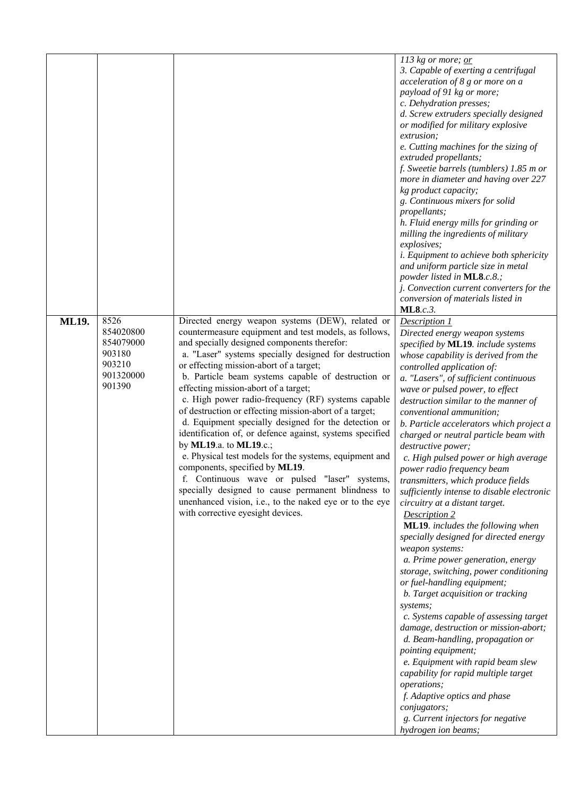|              |                                                                           |                                                                                                                                                                                                                                                                                                                                                                                                                                                                                                                                                                                                                                                                                                                                                                                                                                                                                                                             | 113 kg or more; or<br>3. Capable of exerting a centrifugal<br>acceleration of 8 g or more on a<br>payload of 91 kg or more;<br>c. Dehydration presses;<br>d. Screw extruders specially designed<br>or modified for military explosive<br>extrusion;<br>e. Cutting machines for the sizing of<br>extruded propellants;<br>f. Sweetie barrels (tumblers) 1.85 m or<br>more in diameter and having over 227<br>kg product capacity;<br>g. Continuous mixers for solid<br>propellants;<br>h. Fluid energy mills for grinding or<br>milling the ingredients of military<br>explosives;<br><i>i. Equipment to achieve both sphericity</i><br>and uniform particle size in metal<br>powder listed in ML8.c.8.;<br>j. Convection current converters for the<br>conversion of materials listed in<br><b>ML8.c.3.</b>                                                                                                                                                                                                                                                                                                                                                                                                                                                |
|--------------|---------------------------------------------------------------------------|-----------------------------------------------------------------------------------------------------------------------------------------------------------------------------------------------------------------------------------------------------------------------------------------------------------------------------------------------------------------------------------------------------------------------------------------------------------------------------------------------------------------------------------------------------------------------------------------------------------------------------------------------------------------------------------------------------------------------------------------------------------------------------------------------------------------------------------------------------------------------------------------------------------------------------|------------------------------------------------------------------------------------------------------------------------------------------------------------------------------------------------------------------------------------------------------------------------------------------------------------------------------------------------------------------------------------------------------------------------------------------------------------------------------------------------------------------------------------------------------------------------------------------------------------------------------------------------------------------------------------------------------------------------------------------------------------------------------------------------------------------------------------------------------------------------------------------------------------------------------------------------------------------------------------------------------------------------------------------------------------------------------------------------------------------------------------------------------------------------------------------------------------------------------------------------------------|
| <b>ML19.</b> | 8526<br>854020800<br>854079000<br>903180<br>903210<br>901320000<br>901390 | Directed energy weapon systems (DEW), related or<br>countermeasure equipment and test models, as follows,<br>and specially designed components therefor:<br>a. "Laser" systems specially designed for destruction<br>or effecting mission-abort of a target;<br>b. Particle beam systems capable of destruction or<br>effecting mission-abort of a target;<br>c. High power radio-frequency (RF) systems capable<br>of destruction or effecting mission-abort of a target;<br>d. Equipment specially designed for the detection or<br>identification of, or defence against, systems specified<br>by ML19.a. to ML19.c.;<br>e. Physical test models for the systems, equipment and<br>components, specified by ML19.<br>f. Continuous wave or pulsed "laser" systems,<br>specially designed to cause permanent blindness to<br>unenhanced vision, i.e., to the naked eye or to the eye<br>with corrective eyesight devices. | Description 1<br>Directed energy weapon systems<br>specified by ML19. include systems<br>whose capability is derived from the<br>controlled application of:<br>a. "Lasers", of sufficient continuous<br>wave or pulsed power, to effect<br>destruction similar to the manner of<br>conventional ammunition;<br>b. Particle accelerators which project a<br>charged or neutral particle beam with<br>destructive power;<br>c. High pulsed power or high average<br>power radio frequency beam<br>transmitters, which produce fields<br>sufficiently intense to disable electronic<br>circuitry at a distant target.<br>Description 2<br>ML19. includes the following when<br>specially designed for directed energy<br>weapon systems:<br>a. Prime power generation, energy<br>storage, switching, power conditioning<br>or fuel-handling equipment;<br>b. Target acquisition or tracking<br>systems;<br>c. Systems capable of assessing target<br>damage, destruction or mission-abort;<br>d. Beam-handling, propagation or<br>pointing equipment;<br>e. Equipment with rapid beam slew<br>capability for rapid multiple target<br>operations;<br>f. Adaptive optics and phase<br>conjugators;<br>g. Current injectors for negative<br>hydrogen ion beams; |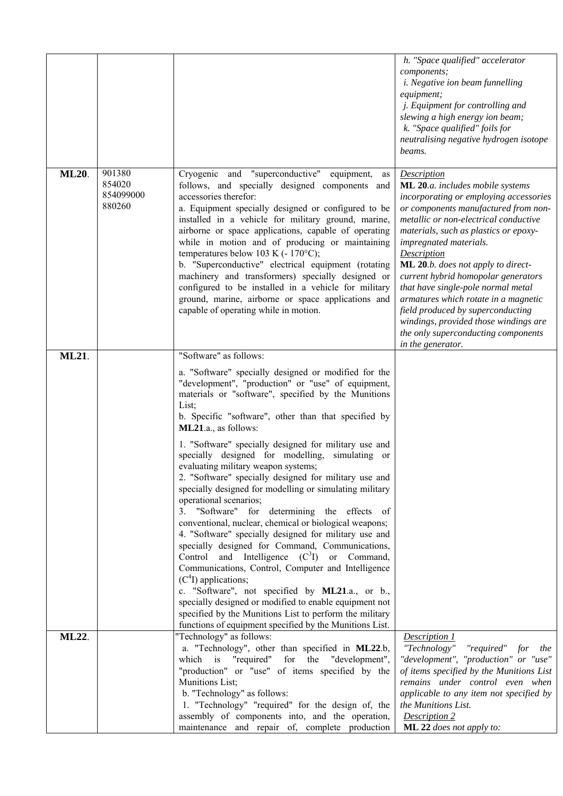|              |                                         |                                                                                                                                                                                                                                                                                                                                                                                                                                                                                                                                                                                                                                                                                                                                                                                                                                                                                                                                                                                                                                                                                                                                                         | h. "Space qualified" accelerator<br>components;<br><i>i. Negative ion beam funnelling</i><br>equipment;<br>j. Equipment for controlling and<br>slewing a high energy ion beam;<br>k. "Space qualified" foils for<br>neutralising negative hydrogen isotope<br>beams.                                                                                                                                                                                                                                                                                                     |
|--------------|-----------------------------------------|---------------------------------------------------------------------------------------------------------------------------------------------------------------------------------------------------------------------------------------------------------------------------------------------------------------------------------------------------------------------------------------------------------------------------------------------------------------------------------------------------------------------------------------------------------------------------------------------------------------------------------------------------------------------------------------------------------------------------------------------------------------------------------------------------------------------------------------------------------------------------------------------------------------------------------------------------------------------------------------------------------------------------------------------------------------------------------------------------------------------------------------------------------|--------------------------------------------------------------------------------------------------------------------------------------------------------------------------------------------------------------------------------------------------------------------------------------------------------------------------------------------------------------------------------------------------------------------------------------------------------------------------------------------------------------------------------------------------------------------------|
| <b>ML20.</b> | 901380<br>854020<br>854099000<br>880260 | Cryogenic and "superconductive"<br>equipment,<br>as<br>follows, and specially designed components and<br>accessories therefor:<br>a. Equipment specially designed or configured to be<br>installed in a vehicle for military ground, marine,<br>airborne or space applications, capable of operating<br>while in motion and of producing or maintaining<br>temperatures below 103 K ( $-170^{\circ}$ C);<br>b. "Superconductive" electrical equipment (rotating<br>machinery and transformers) specially designed or<br>configured to be installed in a vehicle for military<br>ground, marine, airborne or space applications and<br>capable of operating while in motion.                                                                                                                                                                                                                                                                                                                                                                                                                                                                             | <b>Description</b><br>ML 20.a. includes mobile systems<br>incorporating or employing accessories<br>or components manufactured from non-<br>metallic or non-electrical conductive<br>materials, such as plastics or epoxy-<br>impregnated materials.<br>Description<br>ML 20.b. does not apply to direct-<br>current hybrid homopolar generators<br>that have single-pole normal metal<br>armatures which rotate in a magnetic<br>field produced by superconducting<br>windings, provided those windings are<br>the only superconducting components<br>in the generator. |
| <b>ML21.</b> |                                         | "Software" as follows:                                                                                                                                                                                                                                                                                                                                                                                                                                                                                                                                                                                                                                                                                                                                                                                                                                                                                                                                                                                                                                                                                                                                  |                                                                                                                                                                                                                                                                                                                                                                                                                                                                                                                                                                          |
|              |                                         | a. "Software" specially designed or modified for the<br>"development", "production" or "use" of equipment,<br>materials or "software", specified by the Munitions<br>List;<br>b. Specific "software", other than that specified by<br>ML21.a., as follows:<br>1. "Software" specially designed for military use and<br>specially designed for modelling,<br>simulating or<br>evaluating military weapon systems;<br>2. "Software" specially designed for military use and<br>specially designed for modelling or simulating military<br>operational scenarios;<br>3. "Software" for determining the effects of<br>conventional, nuclear, chemical or biological weapons;<br>4. "Software" specially designed for military use and<br>specially designed for Command, Communications,<br>Control and Intelligence $(C^3I)$ or Command,<br>Communications, Control, Computer and Intelligence<br>$(C4I)$ applications;<br>c. "Software", not specified by ML21.a., or b.,<br>specially designed or modified to enable equipment not<br>specified by the Munitions List to perform the military<br>functions of equipment specified by the Munitions List. |                                                                                                                                                                                                                                                                                                                                                                                                                                                                                                                                                                          |
| ML22.        |                                         | "Technology" as follows:                                                                                                                                                                                                                                                                                                                                                                                                                                                                                                                                                                                                                                                                                                                                                                                                                                                                                                                                                                                                                                                                                                                                | Description 1                                                                                                                                                                                                                                                                                                                                                                                                                                                                                                                                                            |
|              |                                         | a. "Technology", other than specified in ML22.b,<br>which<br>is "required" for the "development",<br>"production" or "use" of items specified by the<br>Munitions List;<br>b. "Technology" as follows:<br>1. "Technology" "required" for the design of, the<br>assembly of components into, and the operation,                                                                                                                                                                                                                                                                                                                                                                                                                                                                                                                                                                                                                                                                                                                                                                                                                                          | "Technology"<br>"required" for<br>the<br>"development", "production" or "use"<br>of items specified by the Munitions List<br>remains under control even when<br>applicable to any item not specified by<br>the Munitions List.<br>Description 2                                                                                                                                                                                                                                                                                                                          |
|              |                                         | maintenance and repair of, complete production                                                                                                                                                                                                                                                                                                                                                                                                                                                                                                                                                                                                                                                                                                                                                                                                                                                                                                                                                                                                                                                                                                          | ML 22 does not apply to:                                                                                                                                                                                                                                                                                                                                                                                                                                                                                                                                                 |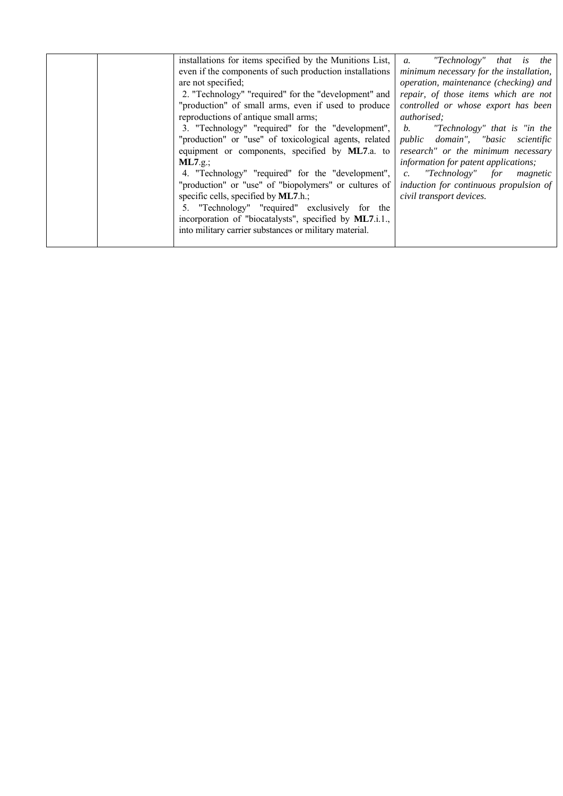| installations for items specified by the Munitions List,        | "Technology" that is the<br>a.          |
|-----------------------------------------------------------------|-----------------------------------------|
| even if the components of such production installations         | minimum necessary for the installation, |
| are not specified;                                              | operation, maintenance (checking) and   |
| 2. "Technology" "required" for the "development" and            | repair, of those items which are not    |
| "production" of small arms, even if used to produce             | controlled or whose export has been     |
| reproductions of antique small arms;                            | <i>authorised</i> ;                     |
| 3. "Technology" "required" for the "development",               | b.<br>"Technology" that is "in the      |
| "production" or "use" of toxicological agents, related          | public domain", "basic scientific       |
| equipment or components, specified by <b>ML7</b> .a. to         | research" or the minimum necessary      |
| ML7.g.                                                          | information for patent applications;    |
| 4. "Technology" "required" for the "development",               | "Technology" for magnetic<br>$c$ .      |
| "production" or "use" of "biopolymers" or cultures of           | induction for continuous propulsion of  |
| specific cells, specified by <b>ML7</b> .h.;                    | civil transport devices.                |
| 5. "Technology" "required" exclusively for the                  |                                         |
| incorporation of "biocatalysts", specified by <b>ML7</b> .i.1., |                                         |
| into military carrier substances or military material.          |                                         |
|                                                                 |                                         |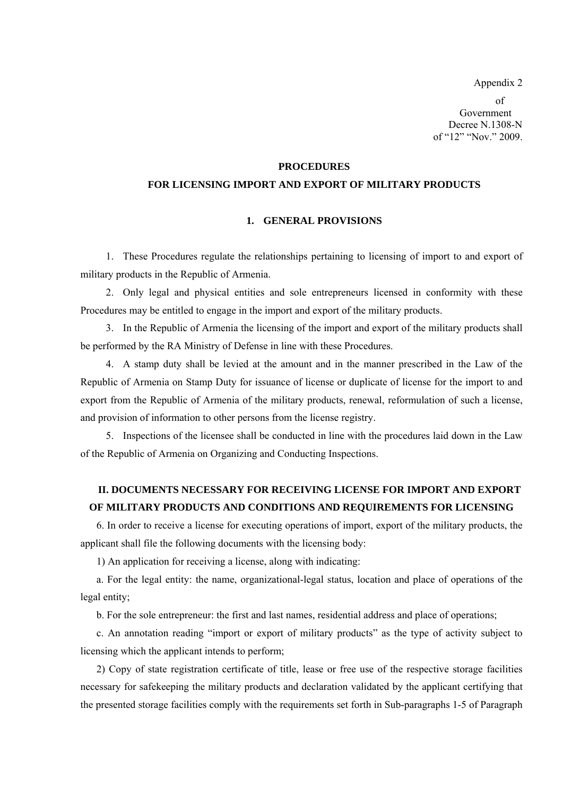Appendix 2

 of Government Decree N.1308-N of "12" "Nov." 2009.

#### **PROCEDURES**

#### **FOR LICENSING IMPORT AND EXPORT OF MILITARY PRODUCTS**

#### **1. GENERAL PROVISIONS**

1. These Procedures regulate the relationships pertaining to licensing of import to and export of military products in the Republic of Armenia.

2. Only legal and physical entities and sole entrepreneurs licensed in conformity with these Procedures may be entitled to engage in the import and export of the military products.

3. In the Republic of Armenia the licensing of the import and export of the military products shall be performed by the RA Ministry of Defense in line with these Procedures.

4. A stamp duty shall be levied at the amount and in the manner prescribed in the Law of the Republic of Armenia on Stamp Duty for issuance of license or duplicate of license for the import to and export from the Republic of Armenia of the military products, renewal, reformulation of such a license, and provision of information to other persons from the license registry.

5. Inspections of the licensee shall be conducted in line with the procedures laid down in the Law of the Republic of Armenia on Organizing and Conducting Inspections.

## **II. DOCUMENTS NECESSARY FOR RECEIVING LICENSE FOR IMPORT AND EXPORT OF MILITARY PRODUCTS AND CONDITIONS AND REQUIREMENTS FOR LICENSING**

6. In order to receive a license for executing operations of import, export of the military products, the applicant shall file the following documents with the licensing body:

1) An application for receiving a license, along with indicating:

a. For the legal entity: the name, organizational-legal status, location and place of operations of the legal entity;

b. For the sole entrepreneur: the first and last names, residential address and place of operations;

c. An annotation reading "import or export of military products" as the type of activity subject to licensing which the applicant intends to perform;

2) Copy of state registration certificate of title, lease or free use of the respective storage facilities necessary for safekeeping the military products and declaration validated by the applicant certifying that the presented storage facilities comply with the requirements set forth in Sub-paragraphs 1-5 of Paragraph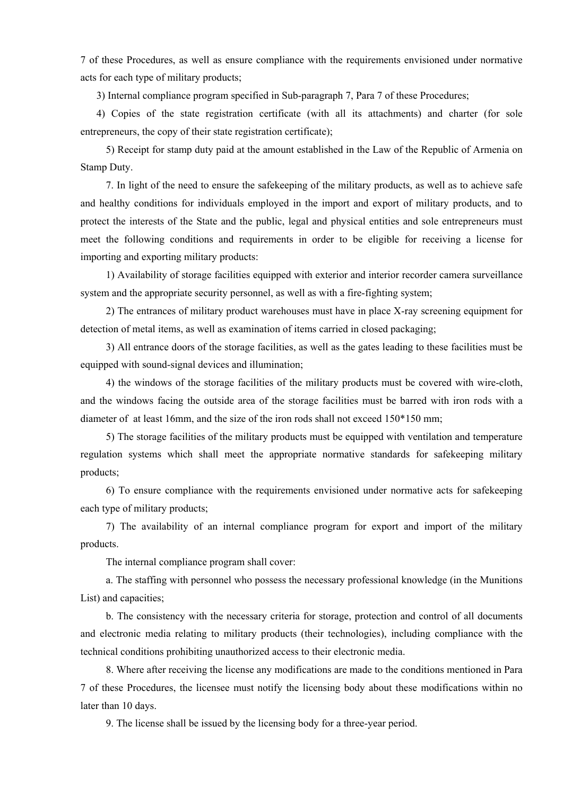7 of these Procedures, as well as ensure compliance with the requirements envisioned under normative acts for each type of military products;

3) Internal compliance program specified in Sub-paragraph 7, Para 7 of these Procedures;

4) Copies of the state registration certificate (with all its attachments) and charter (for sole entrepreneurs, the copy of their state registration certificate);

5) Receipt for stamp duty paid at the amount established in the Law of the Republic of Armenia on Stamp Duty.

7. In light of the need to ensure the safekeeping of the military products, as well as to achieve safe and healthy conditions for individuals employed in the import and export of military products, and to protect the interests of the State and the public, legal and physical entities and sole entrepreneurs must meet the following conditions and requirements in order to be eligible for receiving a license for importing and exporting military products:

1) Availability of storage facilities equipped with exterior and interior recorder camera surveillance system and the appropriate security personnel, as well as with a fire-fighting system;

2) The entrances of military product warehouses must have in place X-ray screening equipment for detection of metal items, as well as examination of items carried in closed packaging;

3) All entrance doors of the storage facilities, as well as the gates leading to these facilities must be equipped with sound-signal devices and illumination;

4) the windows of the storage facilities of the military products must be covered with wire-cloth, and the windows facing the outside area of the storage facilities must be barred with iron rods with a diameter of at least 16mm, and the size of the iron rods shall not exceed 150\*150 mm;

5) The storage facilities of the military products must be equipped with ventilation and temperature regulation systems which shall meet the appropriate normative standards for safekeeping military products;

6) To ensure compliance with the requirements envisioned under normative acts for safekeeping each type of military products;

7) The availability of an internal compliance program for export and import of the military products.

The internal compliance program shall cover:

a. The staffing with personnel who possess the necessary professional knowledge (in the Munitions List) and capacities;

b. The consistency with the necessary criteria for storage, protection and control of all documents and electronic media relating to military products (their technologies), including compliance with the technical conditions prohibiting unauthorized access to their electronic media.

8. Where after receiving the license any modifications are made to the conditions mentioned in Para 7 of these Procedures, the licensee must notify the licensing body about these modifications within no later than 10 days.

9. The license shall be issued by the licensing body for a three-year period.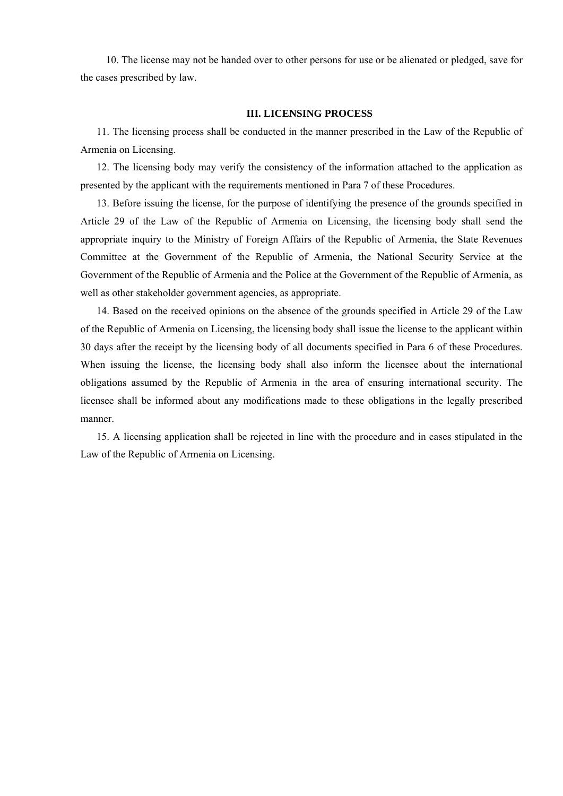10. The license may not be handed over to other persons for use or be alienated or pledged, save for the cases prescribed by law.

#### **III. LICENSING PROCESS**

11. The licensing process shall be conducted in the manner prescribed in the Law of the Republic of Armenia on Licensing.

12. The licensing body may verify the consistency of the information attached to the application as presented by the applicant with the requirements mentioned in Para 7 of these Procedures.

13. Before issuing the license, for the purpose of identifying the presence of the grounds specified in Article 29 of the Law of the Republic of Armenia on Licensing, the licensing body shall send the appropriate inquiry to the Ministry of Foreign Affairs of the Republic of Armenia, the State Revenues Committee at the Government of the Republic of Armenia, the National Security Service at the Government of the Republic of Armenia and the Police at the Government of the Republic of Armenia, as well as other stakeholder government agencies, as appropriate.

14. Based on the received opinions on the absence of the grounds specified in Article 29 of the Law of the Republic of Armenia on Licensing, the licensing body shall issue the license to the applicant within 30 days after the receipt by the licensing body of all documents specified in Para 6 of these Procedures. When issuing the license, the licensing body shall also inform the licensee about the international obligations assumed by the Republic of Armenia in the area of ensuring international security. The licensee shall be informed about any modifications made to these obligations in the legally prescribed manner.

15. A licensing application shall be rejected in line with the procedure and in cases stipulated in the Law of the Republic of Armenia on Licensing.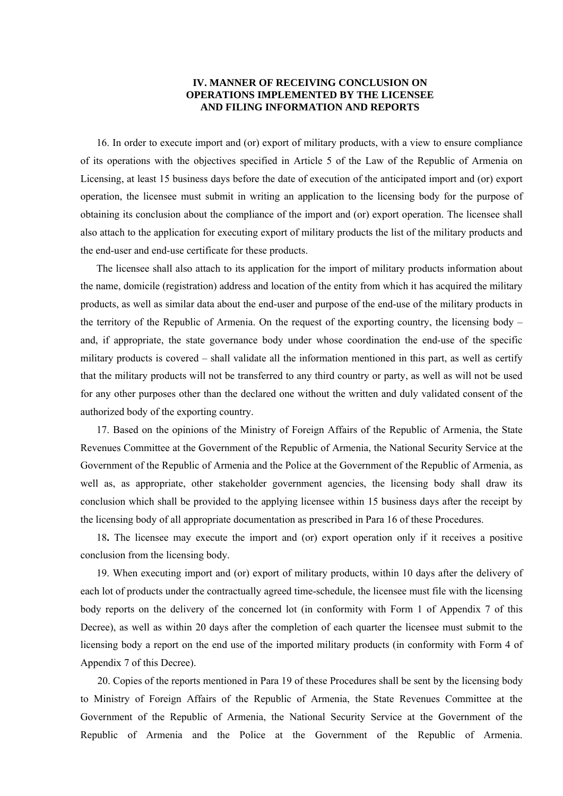#### **IV. MANNER OF RECEIVING CONCLUSION ON OPERATIONS IMPLEMENTED BY THE LICENSEE AND FILING INFORMATION AND REPORTS**

16. In order to execute import and (or) export of military products, with a view to ensure compliance of its operations with the objectives specified in Article 5 of the Law of the Republic of Armenia on Licensing, at least 15 business days before the date of execution of the anticipated import and (or) export operation, the licensee must submit in writing an application to the licensing body for the purpose of obtaining its conclusion about the compliance of the import and (or) export operation. The licensee shall also attach to the application for executing export of military products the list of the military products and the end-user and end-use certificate for these products.

The licensee shall also attach to its application for the import of military products information about the name, domicile (registration) address and location of the entity from which it has acquired the military products, as well as similar data about the end-user and purpose of the end-use of the military products in the territory of the Republic of Armenia. On the request of the exporting country, the licensing body – and, if appropriate, the state governance body under whose coordination the end-use of the specific military products is covered – shall validate all the information mentioned in this part, as well as certify that the military products will not be transferred to any third country or party, as well as will not be used for any other purposes other than the declared one without the written and duly validated consent of the authorized body of the exporting country.

17. Based on the opinions of the Ministry of Foreign Affairs of the Republic of Armenia, the State Revenues Committee at the Government of the Republic of Armenia, the National Security Service at the Government of the Republic of Armenia and the Police at the Government of the Republic of Armenia, as well as, as appropriate, other stakeholder government agencies, the licensing body shall draw its conclusion which shall be provided to the applying licensee within 15 business days after the receipt by the licensing body of all appropriate documentation as prescribed in Para 16 of these Procedures.

18**.** The licensee may execute the import and (or) export operation only if it receives a positive conclusion from the licensing body.

19. When executing import and (or) export of military products, within 10 days after the delivery of each lot of products under the contractually agreed time-schedule, the licensee must file with the licensing body reports on the delivery of the concerned lot (in conformity with Form 1 of Appendix 7 of this Decree), as well as within 20 days after the completion of each quarter the licensee must submit to the licensing body a report on the end use of the imported military products (in conformity with Form 4 of Appendix 7 of this Decree).

20. Copies of the reports mentioned in Para 19 of these Procedures shall be sent by the licensing body to Ministry of Foreign Affairs of the Republic of Armenia, the State Revenues Committee at the Government of the Republic of Armenia, the National Security Service at the Government of the Republic of Armenia and the Police at the Government of the Republic of Armenia.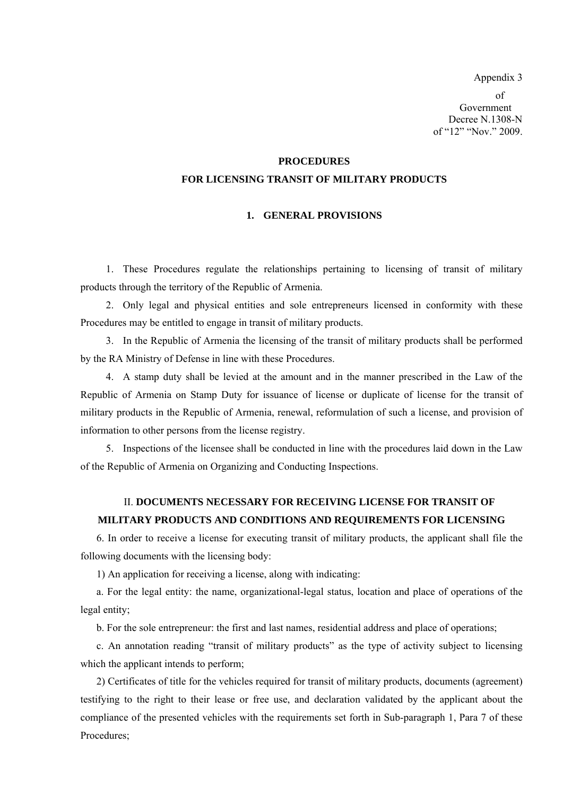Appendix 3 of Government Decree N.1308-N of "12" "Nov." 2009.

#### **PROCEDURES**

#### **FOR LICENSING TRANSIT OF MILITARY PRODUCTS**

#### **1. GENERAL PROVISIONS**

1. These Procedures regulate the relationships pertaining to licensing of transit of military products through the territory of the Republic of Armenia.

2. Only legal and physical entities and sole entrepreneurs licensed in conformity with these Procedures may be entitled to engage in transit of military products.

3. In the Republic of Armenia the licensing of the transit of military products shall be performed by the RA Ministry of Defense in line with these Procedures.

4. A stamp duty shall be levied at the amount and in the manner prescribed in the Law of the Republic of Armenia on Stamp Duty for issuance of license or duplicate of license for the transit of military products in the Republic of Armenia, renewal, reformulation of such a license, and provision of information to other persons from the license registry.

5. Inspections of the licensee shall be conducted in line with the procedures laid down in the Law of the Republic of Armenia on Organizing and Conducting Inspections.

## II. **DOCUMENTS NECESSARY FOR RECEIVING LICENSE FOR TRANSIT OF MILITARY PRODUCTS AND CONDITIONS AND REQUIREMENTS FOR LICENSING**

6. In order to receive a license for executing transit of military products, the applicant shall file the following documents with the licensing body:

1) An application for receiving a license, along with indicating:

a. For the legal entity: the name, organizational-legal status, location and place of operations of the legal entity;

b. For the sole entrepreneur: the first and last names, residential address and place of operations;

c. An annotation reading "transit of military products" as the type of activity subject to licensing which the applicant intends to perform;

2) Certificates of title for the vehicles required for transit of military products, documents (agreement) testifying to the right to their lease or free use, and declaration validated by the applicant about the compliance of the presented vehicles with the requirements set forth in Sub-paragraph 1, Para 7 of these Procedures;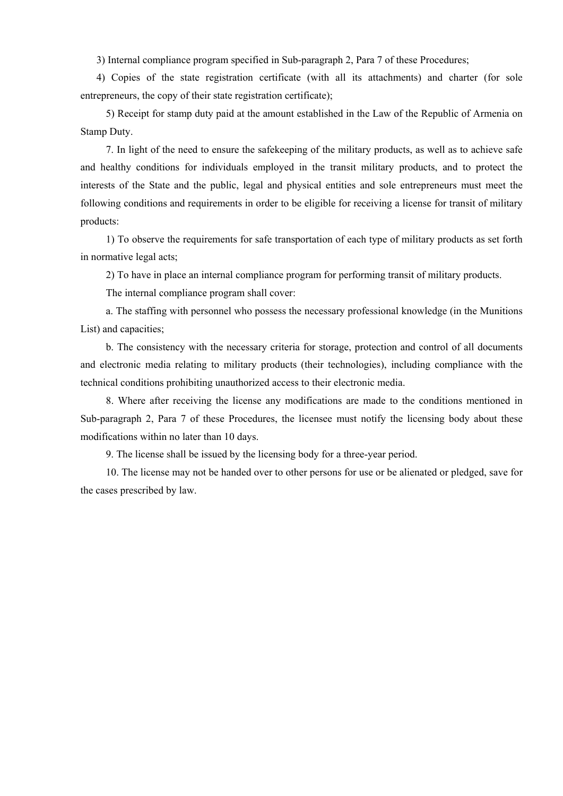3) Internal compliance program specified in Sub-paragraph 2, Para 7 of these Procedures;

4) Copies of the state registration certificate (with all its attachments) and charter (for sole entrepreneurs, the copy of their state registration certificate);

5) Receipt for stamp duty paid at the amount established in the Law of the Republic of Armenia on Stamp Duty.

7. In light of the need to ensure the safekeeping of the military products, as well as to achieve safe and healthy conditions for individuals employed in the transit military products, and to protect the interests of the State and the public, legal and physical entities and sole entrepreneurs must meet the following conditions and requirements in order to be eligible for receiving a license for transit of military products:

1) To observe the requirements for safe transportation of each type of military products as set forth in normative legal acts;

2) To have in place an internal compliance program for performing transit of military products.

The internal compliance program shall cover:

a. The staffing with personnel who possess the necessary professional knowledge (in the Munitions List) and capacities;

b. The consistency with the necessary criteria for storage, protection and control of all documents and electronic media relating to military products (their technologies), including compliance with the technical conditions prohibiting unauthorized access to their electronic media.

8. Where after receiving the license any modifications are made to the conditions mentioned in Sub-paragraph 2, Para 7 of these Procedures, the licensee must notify the licensing body about these modifications within no later than 10 days.

9. The license shall be issued by the licensing body for a three-year period.

10. The license may not be handed over to other persons for use or be alienated or pledged, save for the cases prescribed by law.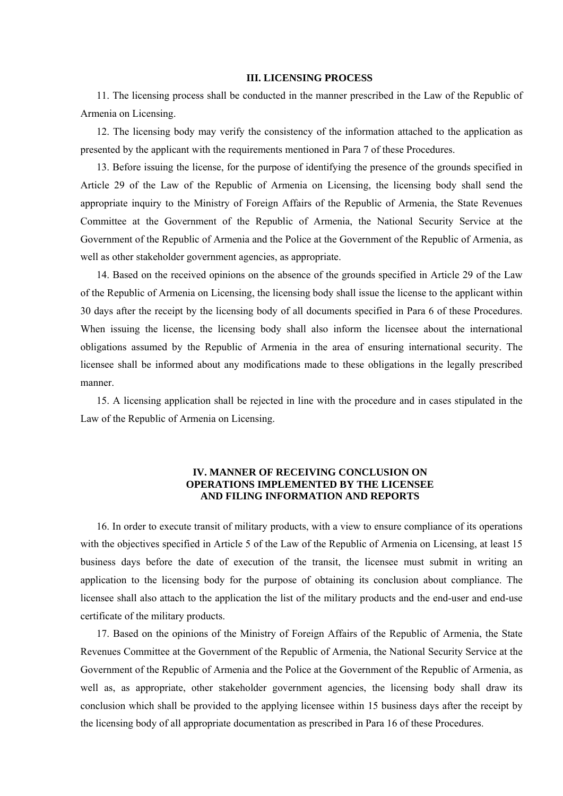#### **III. LICENSING PROCESS**

11. The licensing process shall be conducted in the manner prescribed in the Law of the Republic of Armenia on Licensing.

12. The licensing body may verify the consistency of the information attached to the application as presented by the applicant with the requirements mentioned in Para 7 of these Procedures.

13. Before issuing the license, for the purpose of identifying the presence of the grounds specified in Article 29 of the Law of the Republic of Armenia on Licensing, the licensing body shall send the appropriate inquiry to the Ministry of Foreign Affairs of the Republic of Armenia, the State Revenues Committee at the Government of the Republic of Armenia, the National Security Service at the Government of the Republic of Armenia and the Police at the Government of the Republic of Armenia, as well as other stakeholder government agencies, as appropriate.

14. Based on the received opinions on the absence of the grounds specified in Article 29 of the Law of the Republic of Armenia on Licensing, the licensing body shall issue the license to the applicant within 30 days after the receipt by the licensing body of all documents specified in Para 6 of these Procedures. When issuing the license, the licensing body shall also inform the licensee about the international obligations assumed by the Republic of Armenia in the area of ensuring international security. The licensee shall be informed about any modifications made to these obligations in the legally prescribed manner.

15. A licensing application shall be rejected in line with the procedure and in cases stipulated in the Law of the Republic of Armenia on Licensing.

#### **IV. MANNER OF RECEIVING CONCLUSION ON OPERATIONS IMPLEMENTED BY THE LICENSEE AND FILING INFORMATION AND REPORTS**

16. In order to execute transit of military products, with a view to ensure compliance of its operations with the objectives specified in Article 5 of the Law of the Republic of Armenia on Licensing, at least 15 business days before the date of execution of the transit, the licensee must submit in writing an application to the licensing body for the purpose of obtaining its conclusion about compliance. The licensee shall also attach to the application the list of the military products and the end-user and end-use certificate of the military products.

17. Based on the opinions of the Ministry of Foreign Affairs of the Republic of Armenia, the State Revenues Committee at the Government of the Republic of Armenia, the National Security Service at the Government of the Republic of Armenia and the Police at the Government of the Republic of Armenia, as well as, as appropriate, other stakeholder government agencies, the licensing body shall draw its conclusion which shall be provided to the applying licensee within 15 business days after the receipt by the licensing body of all appropriate documentation as prescribed in Para 16 of these Procedures.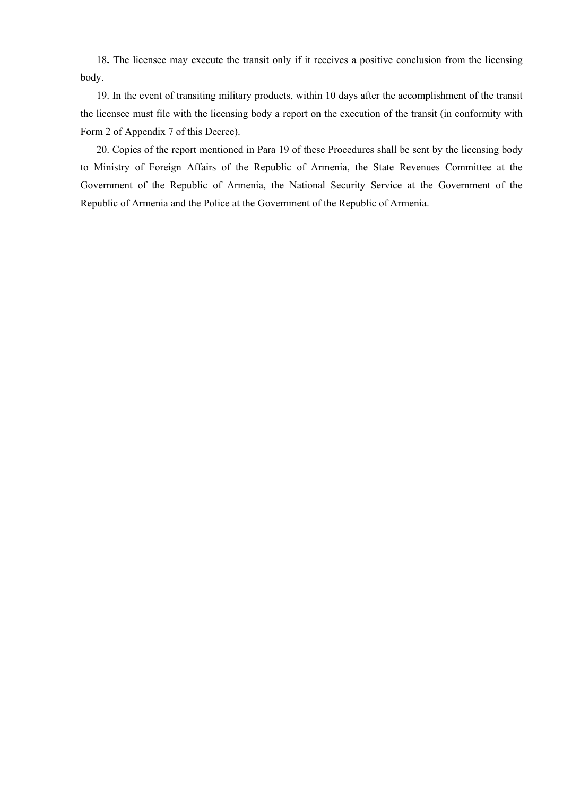18**.** The licensee may execute the transit only if it receives a positive conclusion from the licensing body.

19. In the event of transiting military products, within 10 days after the accomplishment of the transit the licensee must file with the licensing body a report on the execution of the transit (in conformity with Form 2 of Appendix 7 of this Decree).

20. Copies of the report mentioned in Para 19 of these Procedures shall be sent by the licensing body to Ministry of Foreign Affairs of the Republic of Armenia, the State Revenues Committee at the Government of the Republic of Armenia, the National Security Service at the Government of the Republic of Armenia and the Police at the Government of the Republic of Armenia.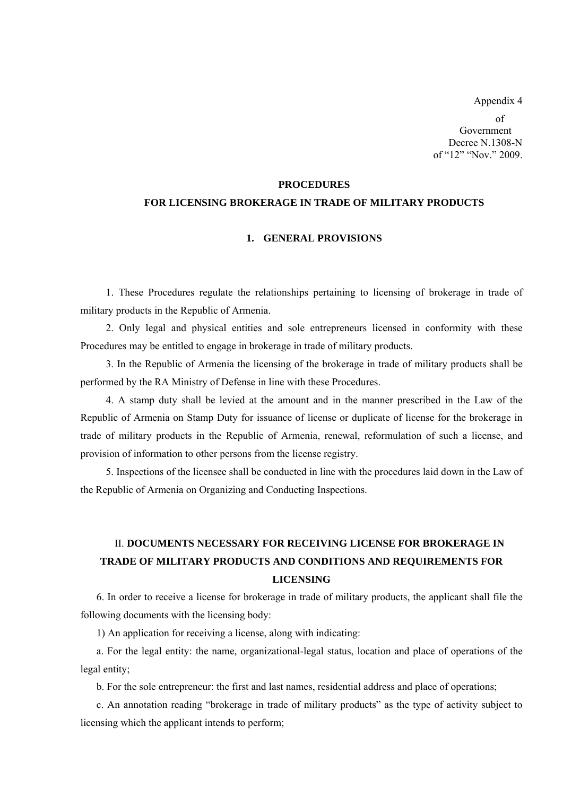Appendix 4

 of Government Decree N.1308-N of "12" "Nov." 2009.

#### **PROCEDURES**

#### **FOR LICENSING BROKERAGE IN TRADE OF MILITARY PRODUCTS**

#### **1. GENERAL PROVISIONS**

1. These Procedures regulate the relationships pertaining to licensing of brokerage in trade of military products in the Republic of Armenia.

2. Only legal and physical entities and sole entrepreneurs licensed in conformity with these Procedures may be entitled to engage in brokerage in trade of military products.

3. In the Republic of Armenia the licensing of the brokerage in trade of military products shall be performed by the RA Ministry of Defense in line with these Procedures.

4. A stamp duty shall be levied at the amount and in the manner prescribed in the Law of the Republic of Armenia on Stamp Duty for issuance of license or duplicate of license for the brokerage in trade of military products in the Republic of Armenia, renewal, reformulation of such a license, and provision of information to other persons from the license registry.

5. Inspections of the licensee shall be conducted in line with the procedures laid down in the Law of the Republic of Armenia on Organizing and Conducting Inspections.

## II. **DOCUMENTS NECESSARY FOR RECEIVING LICENSE FOR BROKERAGE IN TRADE OF MILITARY PRODUCTS AND CONDITIONS AND REQUIREMENTS FOR LICENSING**

6. In order to receive a license for brokerage in trade of military products, the applicant shall file the following documents with the licensing body:

1) An application for receiving a license, along with indicating:

a. For the legal entity: the name, organizational-legal status, location and place of operations of the legal entity;

b. For the sole entrepreneur: the first and last names, residential address and place of operations;

c. An annotation reading "brokerage in trade of military products" as the type of activity subject to licensing which the applicant intends to perform;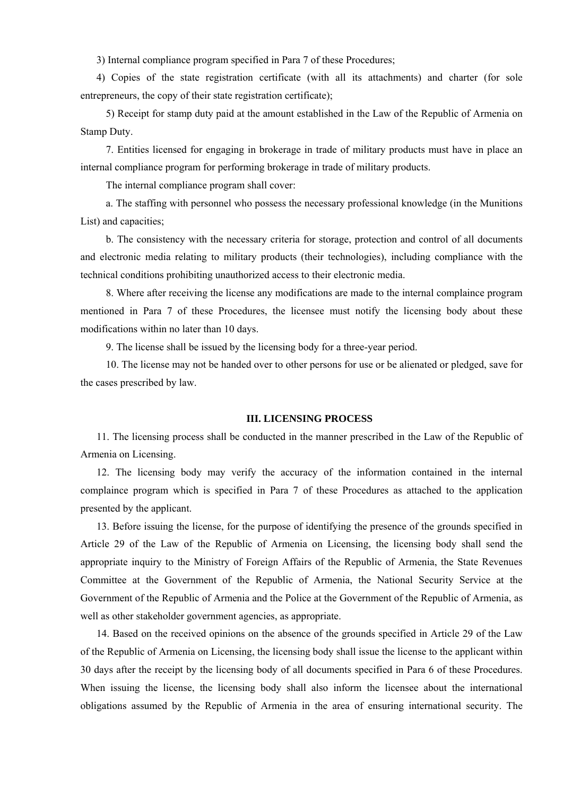3) Internal compliance program specified in Para 7 of these Procedures;

4) Copies of the state registration certificate (with all its attachments) and charter (for sole entrepreneurs, the copy of their state registration certificate);

5) Receipt for stamp duty paid at the amount established in the Law of the Republic of Armenia on Stamp Duty.

7. Entities licensed for engaging in brokerage in trade of military products must have in place an internal compliance program for performing brokerage in trade of military products.

The internal compliance program shall cover:

a. The staffing with personnel who possess the necessary professional knowledge (in the Munitions List) and capacities;

b. The consistency with the necessary criteria for storage, protection and control of all documents and electronic media relating to military products (their technologies), including compliance with the technical conditions prohibiting unauthorized access to their electronic media.

8. Where after receiving the license any modifications are made to the internal complaince program mentioned in Para 7 of these Procedures, the licensee must notify the licensing body about these modifications within no later than 10 days.

9. The license shall be issued by the licensing body for a three-year period.

10. The license may not be handed over to other persons for use or be alienated or pledged, save for the cases prescribed by law.

#### **III. LICENSING PROCESS**

11. The licensing process shall be conducted in the manner prescribed in the Law of the Republic of Armenia on Licensing.

12. The licensing body may verify the accuracy of the information contained in the internal complaince program which is specified in Para 7 of these Procedures as attached to the application presented by the applicant.

13. Before issuing the license, for the purpose of identifying the presence of the grounds specified in Article 29 of the Law of the Republic of Armenia on Licensing, the licensing body shall send the appropriate inquiry to the Ministry of Foreign Affairs of the Republic of Armenia, the State Revenues Committee at the Government of the Republic of Armenia, the National Security Service at the Government of the Republic of Armenia and the Police at the Government of the Republic of Armenia, as well as other stakeholder government agencies, as appropriate.

14. Based on the received opinions on the absence of the grounds specified in Article 29 of the Law of the Republic of Armenia on Licensing, the licensing body shall issue the license to the applicant within 30 days after the receipt by the licensing body of all documents specified in Para 6 of these Procedures. When issuing the license, the licensing body shall also inform the licensee about the international obligations assumed by the Republic of Armenia in the area of ensuring international security. The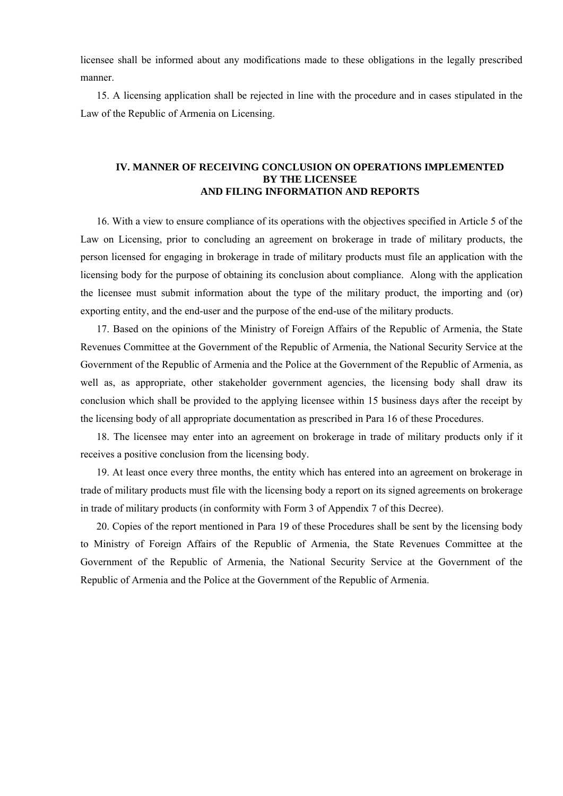licensee shall be informed about any modifications made to these obligations in the legally prescribed manner.

15. A licensing application shall be rejected in line with the procedure and in cases stipulated in the Law of the Republic of Armenia on Licensing.

#### **IV. MANNER OF RECEIVING CONCLUSION ON OPERATIONS IMPLEMENTED BY THE LICENSEE AND FILING INFORMATION AND REPORTS**

16. With a view to ensure compliance of its operations with the objectives specified in Article 5 of the Law on Licensing, prior to concluding an agreement on brokerage in trade of military products, the person licensed for engaging in brokerage in trade of military products must file an application with the licensing body for the purpose of obtaining its conclusion about compliance. Along with the application the licensee must submit information about the type of the military product, the importing and (or) exporting entity, and the end-user and the purpose of the end-use of the military products.

17. Based on the opinions of the Ministry of Foreign Affairs of the Republic of Armenia, the State Revenues Committee at the Government of the Republic of Armenia, the National Security Service at the Government of the Republic of Armenia and the Police at the Government of the Republic of Armenia, as well as, as appropriate, other stakeholder government agencies, the licensing body shall draw its conclusion which shall be provided to the applying licensee within 15 business days after the receipt by the licensing body of all appropriate documentation as prescribed in Para 16 of these Procedures.

18. The licensee may enter into an agreement on brokerage in trade of military products only if it receives a positive conclusion from the licensing body.

19. At least once every three months, the entity which has entered into an agreement on brokerage in trade of military products must file with the licensing body a report on its signed agreements on brokerage in trade of military products (in conformity with Form 3 of Appendix 7 of this Decree).

20. Copies of the report mentioned in Para 19 of these Procedures shall be sent by the licensing body to Ministry of Foreign Affairs of the Republic of Armenia, the State Revenues Committee at the Government of the Republic of Armenia, the National Security Service at the Government of the Republic of Armenia and the Police at the Government of the Republic of Armenia.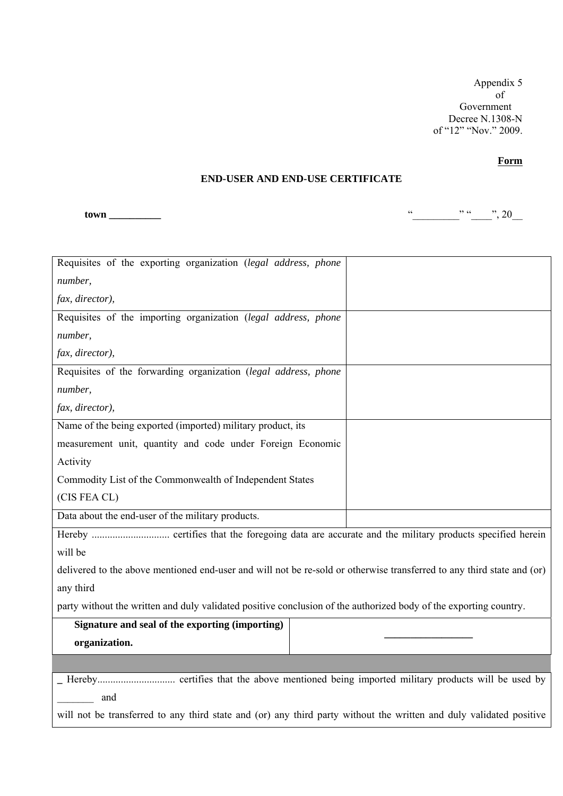Appendix 5 of Government Decree N.1308-N of "12" "Nov." 2009.

### **Form**

#### **END-USER AND END-USE CERTIFICATE**

**town \_\_\_\_\_\_\_\_\_\_** "\_\_\_\_\_\_\_\_\_" "\_\_\_\_", 20\_\_

| Requisites of the exporting organization (legal address, phone                                                         |  |  |  |
|------------------------------------------------------------------------------------------------------------------------|--|--|--|
| number,                                                                                                                |  |  |  |
| fax, director),                                                                                                        |  |  |  |
| Requisites of the importing organization (legal address, phone                                                         |  |  |  |
| number,                                                                                                                |  |  |  |
| fax, director),                                                                                                        |  |  |  |
| Requisites of the forwarding organization (legal address, phone                                                        |  |  |  |
| number,                                                                                                                |  |  |  |
| fax, director),                                                                                                        |  |  |  |
| Name of the being exported (imported) military product, its                                                            |  |  |  |
| measurement unit, quantity and code under Foreign Economic                                                             |  |  |  |
| Activity                                                                                                               |  |  |  |
| Commodity List of the Commonwealth of Independent States                                                               |  |  |  |
| (CIS FEA CL)                                                                                                           |  |  |  |
| Data about the end-user of the military products.                                                                      |  |  |  |
|                                                                                                                        |  |  |  |
| will be                                                                                                                |  |  |  |
| delivered to the above mentioned end-user and will not be re-sold or otherwise transferred to any third state and (or) |  |  |  |
| any third                                                                                                              |  |  |  |
| party without the written and duly validated positive conclusion of the authorized body of the exporting country.      |  |  |  |
| Signature and seal of the exporting (importing)                                                                        |  |  |  |
| organization.                                                                                                          |  |  |  |
|                                                                                                                        |  |  |  |
|                                                                                                                        |  |  |  |
| and                                                                                                                    |  |  |  |
| will not be transferred to any third state and (or) any third party without the written and duly validated positive    |  |  |  |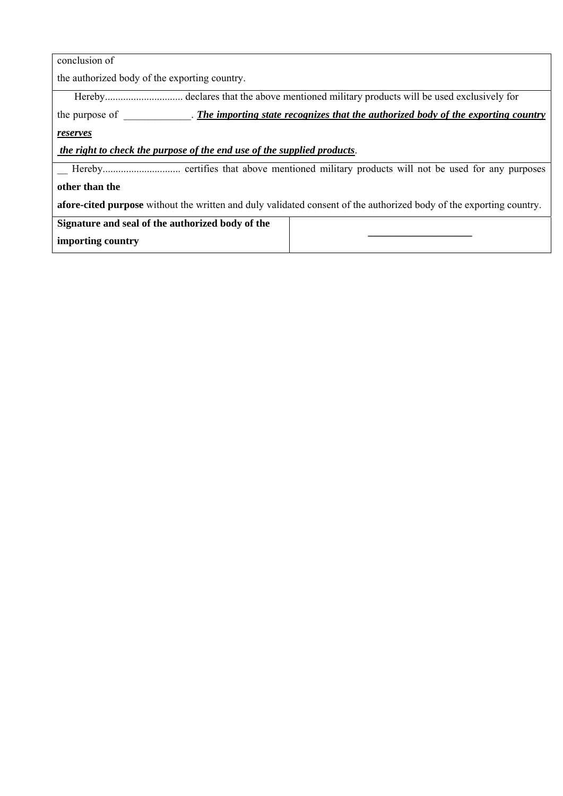| conclusion of |  |
|---------------|--|
|               |  |

the authorized body of the exporting country.

Hereby.............................. declares that the above mentioned military products will be used exclusively for

the purpose of \_\_\_\_\_\_\_\_\_\_\_\_. *The importing state recognizes that the authorized body of the exporting country* 

#### *reserves*

### *the right to check the purpose of the end use of the supplied products*.

\_\_ Hereby.............................. certifies that above mentioned military products will not be used for any purposes

### **other than the**

**afore-cited purpose** without the written and duly validated consent of the authorized body of the exporting country.

| Signature and seal of the authorized body of the |  |
|--------------------------------------------------|--|
| importing country                                |  |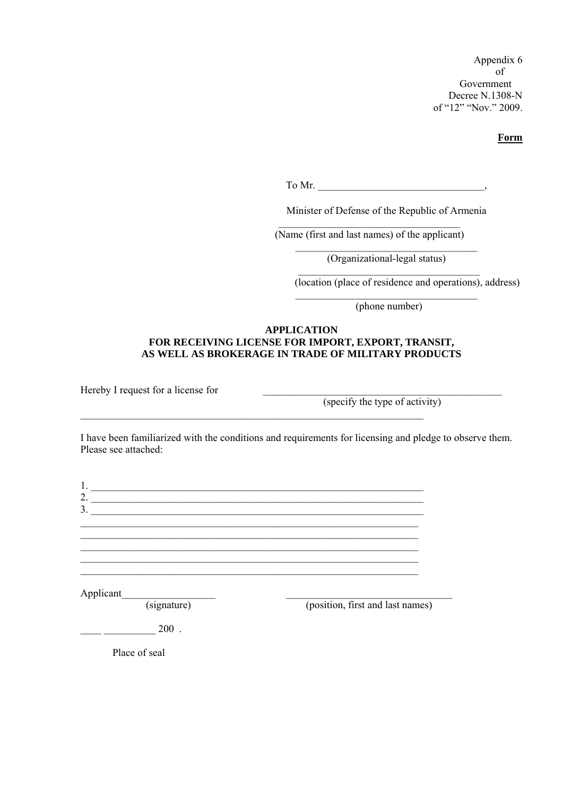Appendix 6 of Government Decree N.1308-N of "12" "Nov." 2009.

### **Form**

 $To Mr.$ 

Minister of Defense of the Republic of Armenia

(Name (first and last names) of the applicant)

 $\mathcal{L}_\text{max}$ (Organizational-legal status)  $\overline{\phantom{a}}$  , where  $\overline{\phantom{a}}$  , where  $\overline{\phantom{a}}$  , where  $\overline{\phantom{a}}$ 

(location (place of residence and operations), address)

 $\mathcal{L}_\text{max}$ (phone number)

#### **APPLICATION FOR RECEIVING LICENSE FOR IMPORT, EXPORT, TRANSIT, AS WELL AS BROKERAGE IN TRADE OF MILITARY PRODUCTS**

Hereby I request for a license for

(specify the type of activity)

I have been familiarized with the conditions and requirements for licensing and pledge to observe them. Please see attached:

| $\mathbf{1}$<br>2. |                                  |
|--------------------|----------------------------------|
| 3.                 |                                  |
|                    |                                  |
|                    |                                  |
|                    |                                  |
| Applicant          |                                  |
| (signature)        | (position, first and last names) |
| $200$ .            |                                  |
| Place of seal      |                                  |

\_\_\_\_\_\_\_\_\_\_\_\_\_\_\_\_\_\_\_\_\_\_\_\_\_\_\_\_\_\_\_\_\_\_\_\_\_\_\_\_\_\_\_\_\_\_\_\_\_\_\_\_\_\_\_\_\_\_\_\_\_\_\_\_\_\_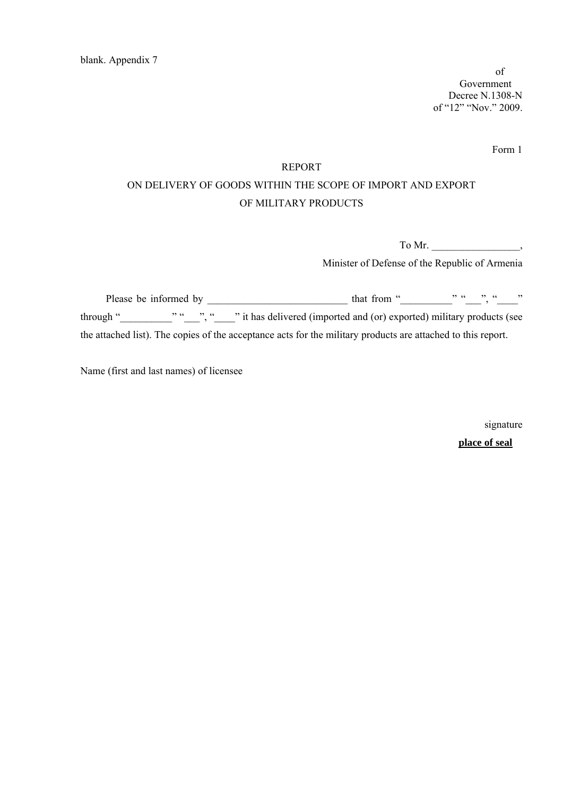blank. Appendix 7

 of Government Decree N.1308-N of "12" "Nov." 2009.

Form 1

## REPORT ON DELIVERY OF GOODS WITHIN THE SCOPE OF IMPORT AND EXPORT OF MILITARY PRODUCTS

To Mr.

Minister of Defense of the Republic of Armenia

Please be informed by \_\_\_\_\_\_\_\_\_\_\_\_\_\_\_\_\_\_\_\_\_\_\_\_\_\_\_ that from "\_\_\_\_\_\_\_\_\_\_" "\_\_\_", "\_\_\_\_" through "\_\_\_\_\_\_\_\_\_" "\_\_\_\_", "\_\_\_\_\_" it has delivered (imported and (or) exported) military products (see the attached list). The copies of the acceptance acts for the military products are attached to this report.

Name (first and last names) of licensee

signature **place of seal**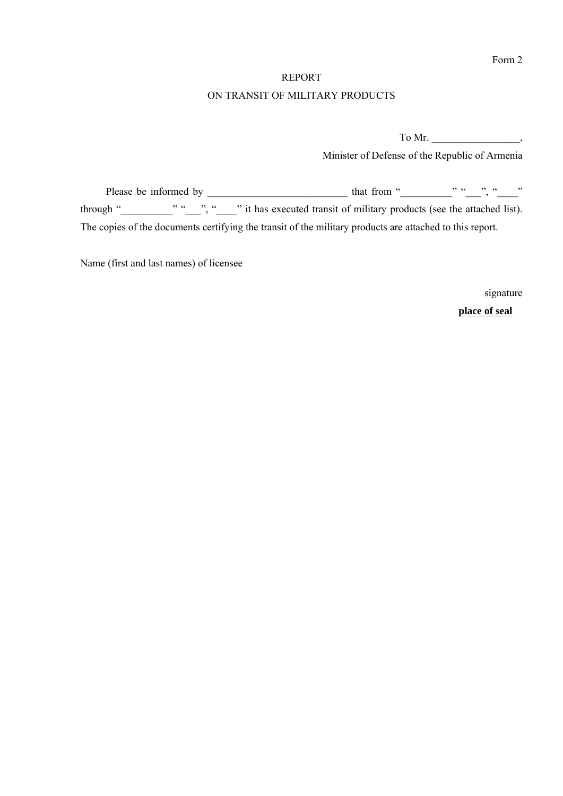## REPORT ON TRANSIT OF MILITARY PRODUCTS

 $To Mr.$ 

Minister of Defense of the Republic of Armenia

Please be informed by \_\_\_\_\_\_\_\_\_\_\_\_\_\_\_\_\_\_\_\_\_\_\_\_\_\_\_ that from "\_\_\_\_\_\_\_\_\_\_" "\_\_\_", "\_\_\_\_" through " $\frac{1}{2}$ ", " $\frac{1}{2}$ ", " $\frac{1}{2}$ " it has executed transit of military products (see the attached list). The copies of the documents certifying the transit of the military products are attached to this report.

Name (first and last names) of licensee

signature

**place of seal**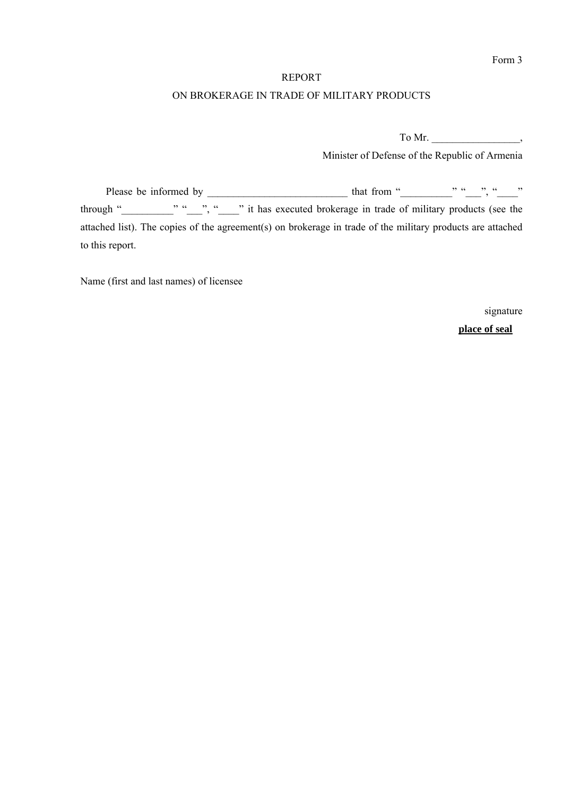#### REPORT

#### ON BROKERAGE IN TRADE OF MILITARY PRODUCTS

 $To Mr.$ 

Minister of Defense of the Republic of Armenia

Please be informed by \_\_\_\_\_\_\_\_\_\_\_\_\_\_\_\_\_\_\_\_\_\_\_\_\_\_\_ that from "\_\_\_\_\_\_\_\_\_\_" "\_\_\_", "\_\_\_\_" through " $\frac{1}{2}$ ", " $\frac{1}{2}$ ", " $\frac{1}{2}$ " it has executed brokerage in trade of military products (see the attached list). The copies of the agreement(s) on brokerage in trade of the military products are attached to this report.

Name (first and last names) of licensee

signature **place of seal**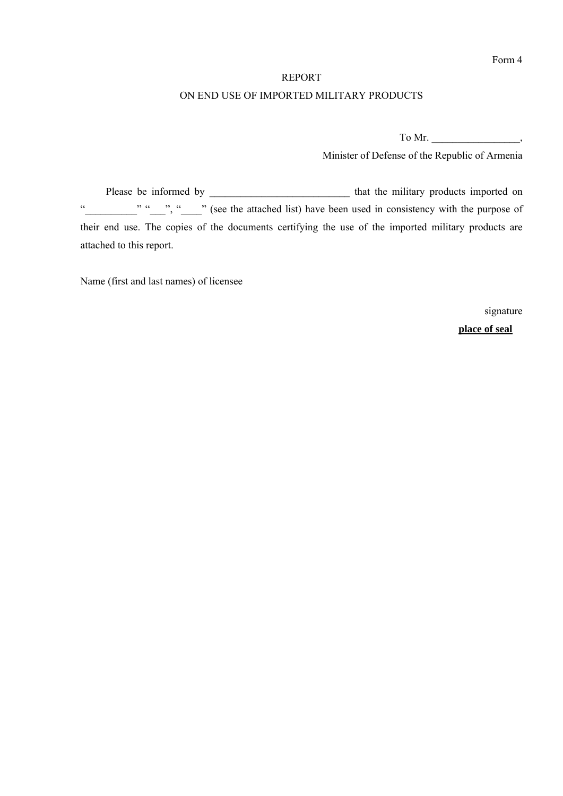# REPORT

### ON END USE OF IMPORTED MILITARY PRODUCTS

 $To Mr.$ 

Minister of Defense of the Republic of Armenia

Please be informed by \_\_\_\_\_\_\_\_\_\_\_\_\_\_\_\_\_\_\_\_\_\_\_\_\_\_\_\_\_\_\_\_\_ that the military products imported on "\_\_\_\_\_\_\_\_\_" "\_\_\_", "\_\_\_\_" (see the attached list) have been used in consistency with the purpose of their end use. The copies of the documents certifying the use of the imported military products are attached to this report.

Name (first and last names) of licensee

signature **place of seal**